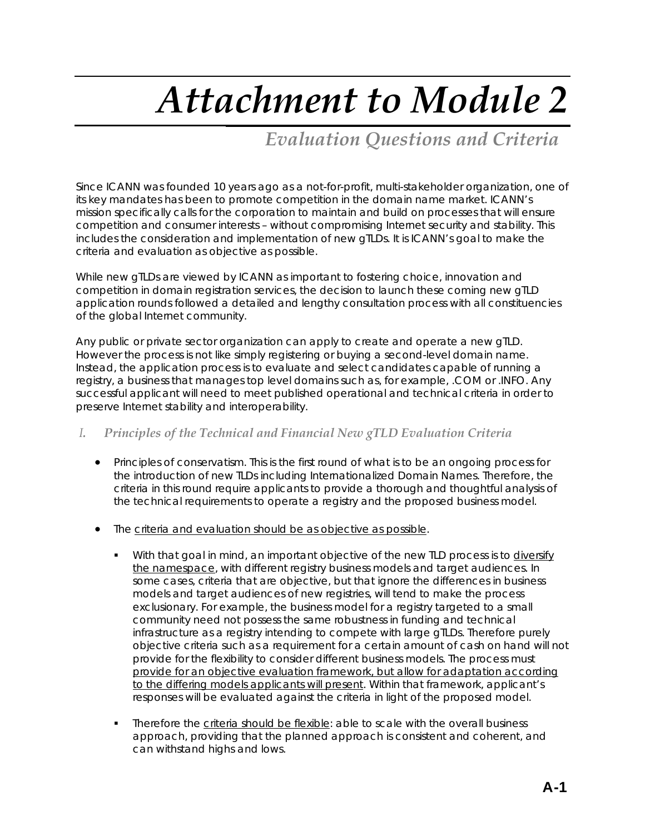# *Attachment to Module 2*

# *Evaluation Questions and Criteria*

Since ICANN was founded 10 years ago as a not-for-profit, multi-stakeholder organization, one of its key mandates has been to promote competition in the domain name market. ICANN's mission specifically calls for the corporation to maintain and build on processes that will ensure competition and consumer interests – without compromising Internet security and stability. This includes the consideration and implementation of new gTLDs. It is ICANN's goal to make the criteria and evaluation as objective as possible.

While new gTLDs are viewed by ICANN as important to fostering choice, innovation and competition in domain registration services, the decision to launch these coming new gTLD application rounds followed a detailed and lengthy consultation process with all constituencies of the global Internet community.

Any public or private sector organization can apply to create and operate a new gTLD. However the process is not like simply registering or buying a second-level domain name. Instead, the application process is to evaluate and select candidates capable of running a registry, a business that manages top level domains such as, for example, .COM or .INFO. Any successful applicant will need to meet published operational and technical criteria in order to preserve Internet stability and interoperability.

# *I. Principles of the Technical and Financial New gTLD Evaluation Criteria*

- Principles of conservatism. This is the first round of what is to be an ongoing process for the introduction of new TLDs including Internationalized Domain Names. Therefore, the criteria in this round require applicants to provide a thorough and thoughtful analysis of the technical requirements to operate a registry and the proposed business model.
- The criteria and evaluation should be as objective as possible.
	- With that goal in mind, an important objective of the new TLD process is to diversify the namespace, with different registry business models and target audiences. In some cases, criteria that are objective, but that ignore the differences in business models and target audiences of new registries, will tend to make the process exclusionary. For example, the business model for a registry targeted to a small community need not possess the same robustness in funding and technical infrastructure as a registry intending to compete with large gTLDs. Therefore purely objective criteria such as a requirement for a certain amount of cash on hand will not provide for the flexibility to consider different business models. The process must provide for an objective evaluation framework, but allow for adaptation according to the differing models applicants will present. Within that framework, applicant's responses will be evaluated against the criteria in light of the proposed model.
	- Therefore the criteria should be flexible: able to scale with the overall business approach, providing that the planned approach is consistent and coherent, and can withstand highs and lows.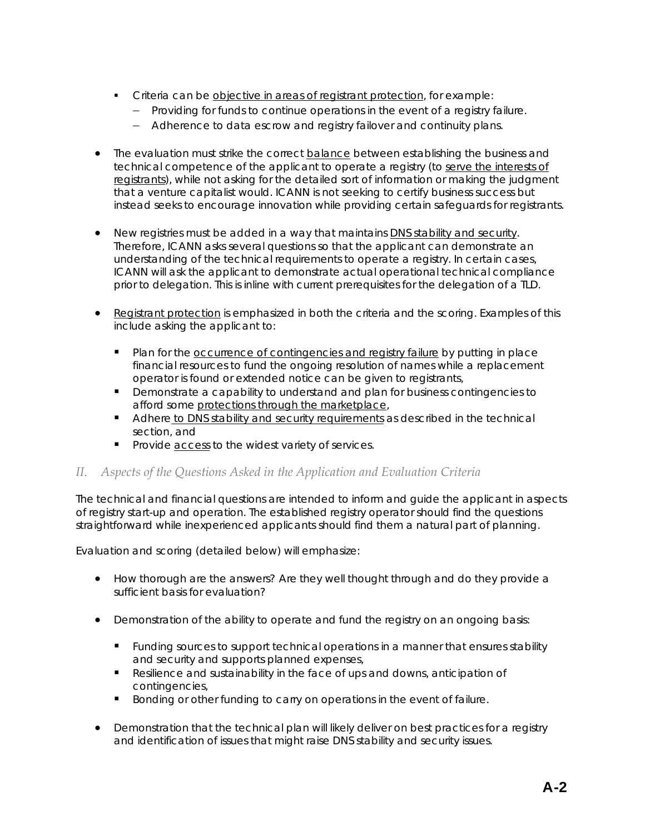- Criteria can be objective in areas of registrant protection, for example:
	- − Providing for funds to continue operations in the event of a registry failure.
	- − Adherence to data escrow and registry failover and continuity plans.
- The evaluation must strike the correct balance between establishing the business and technical competence of the applicant to operate a registry (to serve the interests of registrants), while not asking for the detailed sort of information or making the judgment that a venture capitalist would. ICANN is not seeking to certify business success but instead seeks to encourage innovation while providing certain safeguards for registrants.
- New registries must be added in a way that maintains DNS stability and security. Therefore, ICANN asks several questions so that the applicant can demonstrate an understanding of the technical requirements to operate a registry. In certain cases, ICANN will ask the applicant to demonstrate actual operational technical compliance prior to delegation. This is inline with current prerequisites for the delegation of a TLD.
- Registrant protection is emphasized in both the criteria and the scoring. Examples of this include asking the applicant to:
	- **Plan for the occurrence of contingencies and registry failure by putting in place** financial resources to fund the ongoing resolution of names while a replacement operator is found or extended notice can be given to registrants,
	- **•** Demonstrate a capability to understand and plan for business contingencies to afford some protections through the marketplace,
	- Adhere to DNS stability and security requirements as described in the technical section, and
	- **Provide access to the widest variety of services.**

# *II. Aspects of the Questions Asked in the Application and Evaluation Criteria*

The technical and financial questions are intended to inform and guide the applicant in aspects of registry start-up and operation. The established registry operator should find the questions straightforward while inexperienced applicants should find them a natural part of planning.

Evaluation and scoring (detailed below) will emphasize:

- How thorough are the answers? Are they well thought through and do they provide a sufficient basis for evaluation?
- Demonstration of the ability to operate and fund the registry on an ongoing basis:
	- **Funding sources to support technical operations in a manner that ensures stability** and security and supports planned expenses,
	- Resilience and sustainability in the face of ups and downs, anticipation of contingencies,
	- Bonding or other funding to carry on operations in the event of failure.
- Demonstration that the technical plan will likely deliver on best practices for a registry and identification of issues that might raise DNS stability and security issues.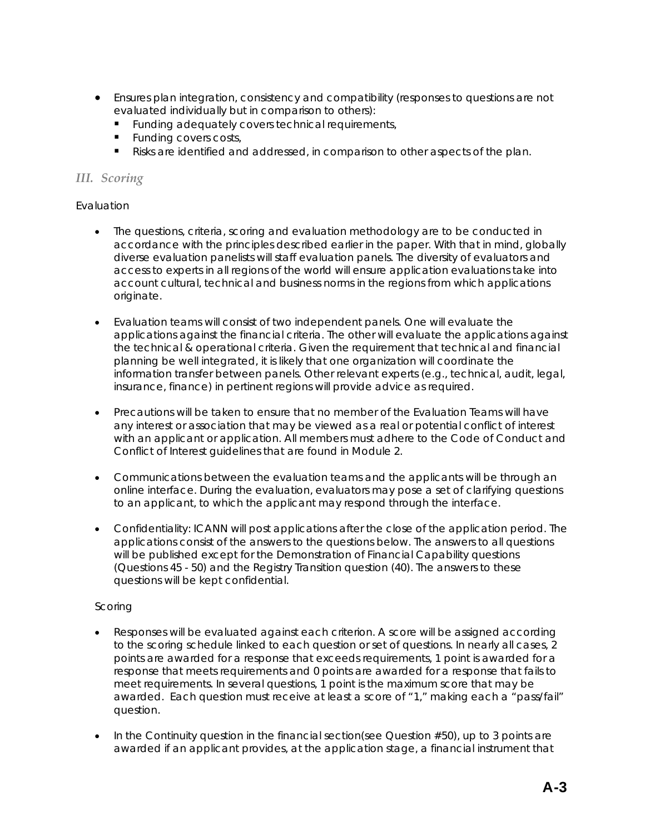- Ensures plan integration, consistency and compatibility (responses to questions are not evaluated individually but in comparison to others):
	- **Funding adequately covers technical requirements,**
	- **Funding covers costs,**
	- **Risks are identified and addressed, in comparison to other aspects of the plan.**

# *III. Scoring*

# Evaluation

- The questions, criteria, scoring and evaluation methodology are to be conducted in accordance with the principles described earlier in the paper. With that in mind, globally diverse evaluation panelists will staff evaluation panels. The diversity of evaluators and access to experts in all regions of the world will ensure application evaluations take into account cultural, technical and business norms in the regions from which applications originate.
- Evaluation teams will consist of two independent panels. One will evaluate the applications against the financial criteria. The other will evaluate the applications against the technical & operational criteria. Given the requirement that technical and financial planning be well integrated, it is likely that one organization will coordinate the information transfer between panels. Other relevant experts (e.g., technical, audit, legal, insurance, finance) in pertinent regions will provide advice as required.
- Precautions will be taken to ensure that no member of the Evaluation Teams will have any interest or association that may be viewed as a real or potential conflict of interest with an applicant or application. All members must adhere to the Code of Conduct and Conflict of Interest guidelines that are found in Module 2.
- Communications between the evaluation teams and the applicants will be through an online interface. During the evaluation, evaluators may pose a set of clarifying questions to an applicant, to which the applicant may respond through the interface.
- Confidentiality: ICANN will post applications after the close of the application period. The applications consist of the answers to the questions below. The answers to all questions will be published except for the Demonstration of Financial Capability questions (Questions 45 - 50) and the Registry Transition question (40). The answers to these questions will be kept confidential.

# Scoring

- Responses will be evaluated against each criterion. A score will be assigned according to the scoring schedule linked to each question or set of questions. In nearly all cases, 2 points are awarded for a response that exceeds requirements, 1 point is awarded for a response that meets requirements and 0 points are awarded for a response that fails to meet requirements. In several questions, 1 point is the maximum score that may be awarded. Each question must receive at least a score of "1," making each a "pass/fail" question.
- In the Continuity question in the financial section(see Question #50), up to 3 points are awarded if an applicant provides, at the application stage, a financial instrument that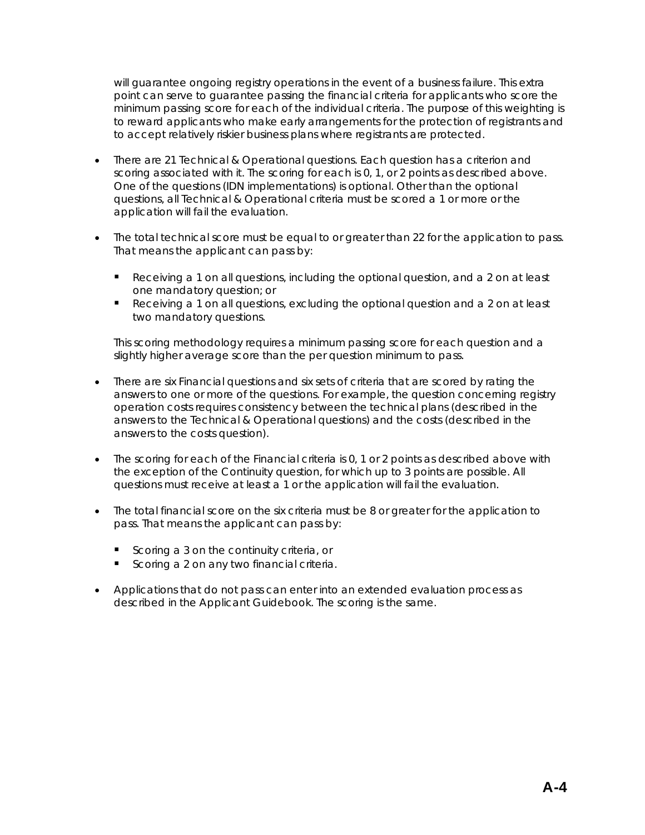will guarantee ongoing registry operations in the event of a business failure. This extra point can serve to guarantee passing the financial criteria for applicants who score the minimum passing score for each of the individual criteria. The purpose of this weighting is to reward applicants who make early arrangements for the protection of registrants and to accept relatively riskier business plans where registrants are protected.

- There are 21 Technical & Operational questions. Each question has a criterion and scoring associated with it. The scoring for each is 0, 1, or 2 points as described above. One of the questions (IDN implementations) is optional. Other than the optional questions, all Technical & Operational criteria must be scored a 1 or more or the application will fail the evaluation.
- The total technical score must be equal to or greater than 22 for the application to pass. That means the applicant can pass by:
	- **Receiving a 1 on all questions, including the optional question, and a 2 on at least** one mandatory question; or
	- Receiving a 1 on all questions, excluding the optional question and a 2 on at least two mandatory questions.

This scoring methodology requires a minimum passing score for each question and a slightly higher average score than the per question minimum to pass.

- There are six Financial questions and six sets of criteria that are scored by rating the answers to one or more of the questions. For example, the question concerning registry operation costs requires consistency between the technical plans (described in the answers to the Technical & Operational questions) and the costs (described in the answers to the costs question).
- The scoring for each of the Financial criteria is 0, 1 or 2 points as described above with the exception of the Continuity question, for which up to 3 points are possible. All questions must receive at least a 1 or the application will fail the evaluation.
- The total financial score on the six criteria must be 8 or greater for the application to pass. That means the applicant can pass by:
	- Scoring a 3 on the continuity criteria, or
	- Scoring a 2 on any two financial criteria.
- Applications that do not pass can enter into an extended evaluation process as described in the Applicant Guidebook. The scoring is the same.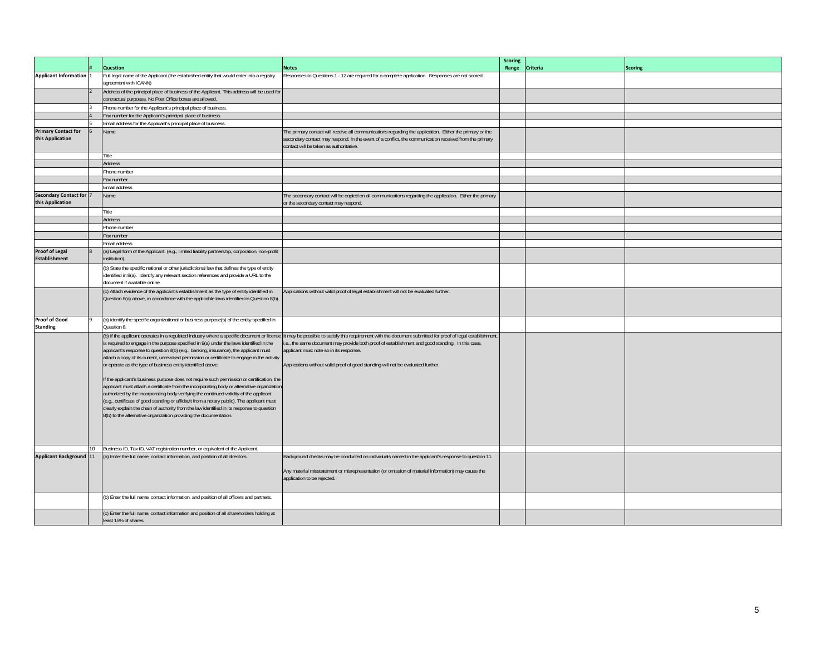|                                                    | <b>Question</b>                                                                                                                                                                                                                                                                                                                                                                                                                                                                                                                                                                                                                                                                                                                                                                                                                                                                                                                                                                                     | <b>Notes</b>                                                                                                                                                                                                                                                                                                                                    | <b>Scoring</b><br>Range | Criteria | <b>Scoring</b> |
|----------------------------------------------------|-----------------------------------------------------------------------------------------------------------------------------------------------------------------------------------------------------------------------------------------------------------------------------------------------------------------------------------------------------------------------------------------------------------------------------------------------------------------------------------------------------------------------------------------------------------------------------------------------------------------------------------------------------------------------------------------------------------------------------------------------------------------------------------------------------------------------------------------------------------------------------------------------------------------------------------------------------------------------------------------------------|-------------------------------------------------------------------------------------------------------------------------------------------------------------------------------------------------------------------------------------------------------------------------------------------------------------------------------------------------|-------------------------|----------|----------------|
| <b>Applicant Information</b>                       | Full legal name of the Applicant (the established entity that would enter into a registry<br>agreement with ICANN)                                                                                                                                                                                                                                                                                                                                                                                                                                                                                                                                                                                                                                                                                                                                                                                                                                                                                  | Responses to Questions 1 - 12 are required for a complete application. Responses are not scored.                                                                                                                                                                                                                                                |                         |          |                |
|                                                    | Address of the principal place of business of the Applicant. This address will be used for<br>contractual purposes. No Post Office boxes are allowed.                                                                                                                                                                                                                                                                                                                                                                                                                                                                                                                                                                                                                                                                                                                                                                                                                                               |                                                                                                                                                                                                                                                                                                                                                 |                         |          |                |
|                                                    | Phone number for the Applicant's principal place of business.                                                                                                                                                                                                                                                                                                                                                                                                                                                                                                                                                                                                                                                                                                                                                                                                                                                                                                                                       |                                                                                                                                                                                                                                                                                                                                                 |                         |          |                |
|                                                    | Fax number for the Applicant's principal place of business.                                                                                                                                                                                                                                                                                                                                                                                                                                                                                                                                                                                                                                                                                                                                                                                                                                                                                                                                         |                                                                                                                                                                                                                                                                                                                                                 |                         |          |                |
|                                                    | Email address for the Applicant's principal place of business.                                                                                                                                                                                                                                                                                                                                                                                                                                                                                                                                                                                                                                                                                                                                                                                                                                                                                                                                      |                                                                                                                                                                                                                                                                                                                                                 |                         |          |                |
| <b>Primary Contact for</b><br>this Application     | Name                                                                                                                                                                                                                                                                                                                                                                                                                                                                                                                                                                                                                                                                                                                                                                                                                                                                                                                                                                                                | The primary contact will receive all communications regarding the application. Either the primary or the<br>secondary contact may respond. In the event of a conflict, the communication received from the primary<br>contact will be taken as authoritative.                                                                                   |                         |          |                |
|                                                    | Title                                                                                                                                                                                                                                                                                                                                                                                                                                                                                                                                                                                                                                                                                                                                                                                                                                                                                                                                                                                               |                                                                                                                                                                                                                                                                                                                                                 |                         |          |                |
|                                                    | <b>Address</b>                                                                                                                                                                                                                                                                                                                                                                                                                                                                                                                                                                                                                                                                                                                                                                                                                                                                                                                                                                                      |                                                                                                                                                                                                                                                                                                                                                 |                         |          |                |
|                                                    | Phone number                                                                                                                                                                                                                                                                                                                                                                                                                                                                                                                                                                                                                                                                                                                                                                                                                                                                                                                                                                                        |                                                                                                                                                                                                                                                                                                                                                 |                         |          |                |
|                                                    | Fax number                                                                                                                                                                                                                                                                                                                                                                                                                                                                                                                                                                                                                                                                                                                                                                                                                                                                                                                                                                                          |                                                                                                                                                                                                                                                                                                                                                 |                         |          |                |
|                                                    | Email address                                                                                                                                                                                                                                                                                                                                                                                                                                                                                                                                                                                                                                                                                                                                                                                                                                                                                                                                                                                       |                                                                                                                                                                                                                                                                                                                                                 |                         |          |                |
| <b>Secondary Contact for 7</b><br>this Application | Name                                                                                                                                                                                                                                                                                                                                                                                                                                                                                                                                                                                                                                                                                                                                                                                                                                                                                                                                                                                                | The secondary contact will be copied on all communications regarding the application. Either the primary<br>or the secondary contact may respond.                                                                                                                                                                                               |                         |          |                |
|                                                    | Title                                                                                                                                                                                                                                                                                                                                                                                                                                                                                                                                                                                                                                                                                                                                                                                                                                                                                                                                                                                               |                                                                                                                                                                                                                                                                                                                                                 |                         |          |                |
|                                                    | <b>Address</b>                                                                                                                                                                                                                                                                                                                                                                                                                                                                                                                                                                                                                                                                                                                                                                                                                                                                                                                                                                                      |                                                                                                                                                                                                                                                                                                                                                 |                         |          |                |
|                                                    | Phone number                                                                                                                                                                                                                                                                                                                                                                                                                                                                                                                                                                                                                                                                                                                                                                                                                                                                                                                                                                                        |                                                                                                                                                                                                                                                                                                                                                 |                         |          |                |
|                                                    | ax number                                                                                                                                                                                                                                                                                                                                                                                                                                                                                                                                                                                                                                                                                                                                                                                                                                                                                                                                                                                           |                                                                                                                                                                                                                                                                                                                                                 |                         |          |                |
|                                                    | Email address                                                                                                                                                                                                                                                                                                                                                                                                                                                                                                                                                                                                                                                                                                                                                                                                                                                                                                                                                                                       |                                                                                                                                                                                                                                                                                                                                                 |                         |          |                |
| <b>Proof of Legal</b><br><b>Establishment</b>      | (a) Legal form of the Applicant. (e.g., limited liability partnership, corporation, non-profit<br>institution)                                                                                                                                                                                                                                                                                                                                                                                                                                                                                                                                                                                                                                                                                                                                                                                                                                                                                      |                                                                                                                                                                                                                                                                                                                                                 |                         |          |                |
|                                                    | (b) State the specific national or other jurisdictional law that defines the type of entity<br>identified in 8(a). Identify any relevant section references and provide a URL to the<br>document if available online.                                                                                                                                                                                                                                                                                                                                                                                                                                                                                                                                                                                                                                                                                                                                                                               |                                                                                                                                                                                                                                                                                                                                                 |                         |          |                |
|                                                    | (c) Attach evidence of the applicant's establishment as the type of entity identified in<br>Question 8(a) above, in accordance with the applicable laws identified in Question 8(b).                                                                                                                                                                                                                                                                                                                                                                                                                                                                                                                                                                                                                                                                                                                                                                                                                | Applications without valid proof of legal establishment will not be evaluated further.                                                                                                                                                                                                                                                          |                         |          |                |
| <b>Proof of Good</b><br><b>Standing</b>            | (a) Identify the specific organizational or business purpose(s) of the entity specified in<br>Question 8.                                                                                                                                                                                                                                                                                                                                                                                                                                                                                                                                                                                                                                                                                                                                                                                                                                                                                           |                                                                                                                                                                                                                                                                                                                                                 |                         |          |                |
|                                                    | (b) If the applicant operates in a regulated industry where a specific document or license<br>is required to engage in the purpose specified in 9(a) under the laws identified in the<br>applicant's response to question 8(b) (e.g., banking, insurance), the applicant must<br>attach a copy of its current, unrevoked permission or certificate to engage in the activity<br>or operate as the type of business entity identified above.<br>If the applicant's business purpose does not require such permission or certification, the<br>applicant must attach a certificate from the incorporating body or alternative organization<br>authorized by the incorporating body verifying the continued validity of the applicant<br>(e.g., certificate of good standing or affidavit from a notary public). The applicant must<br>clearly explain the chain of authority from the law identified in its response to question<br>8(b) to the alternative organization providing the documentation. | It may be possible to satisfy this requirement with the document submitted for proof of legal establishment,<br>i.e., the same document may provide both proof of establishment and good standing. In this case,<br>applicant must note so in its response.<br>Applications without valid proof of good standing will not be evaluated further. |                         |          |                |
|                                                    | 10 Business ID, Tax ID, VAT registration number, or equivalent of the Applicant.                                                                                                                                                                                                                                                                                                                                                                                                                                                                                                                                                                                                                                                                                                                                                                                                                                                                                                                    |                                                                                                                                                                                                                                                                                                                                                 |                         |          |                |
| <b>Applicant Background 11</b>                     | (a) Enter the full name, contact information, and position of all directors.                                                                                                                                                                                                                                                                                                                                                                                                                                                                                                                                                                                                                                                                                                                                                                                                                                                                                                                        | Background checks may be conducted on individuals named in the applicant's response to question 11.                                                                                                                                                                                                                                             |                         |          |                |
|                                                    |                                                                                                                                                                                                                                                                                                                                                                                                                                                                                                                                                                                                                                                                                                                                                                                                                                                                                                                                                                                                     | Any material misstatement or misrepresentation (or omission of material information) may cause the<br>application to be rejected.                                                                                                                                                                                                               |                         |          |                |
|                                                    | (b) Enter the full name, contact information, and position of all officers and partners.                                                                                                                                                                                                                                                                                                                                                                                                                                                                                                                                                                                                                                                                                                                                                                                                                                                                                                            |                                                                                                                                                                                                                                                                                                                                                 |                         |          |                |
|                                                    | (c) Enter the full name, contact information and position of all shareholders holding at<br>east 15% of shares.                                                                                                                                                                                                                                                                                                                                                                                                                                                                                                                                                                                                                                                                                                                                                                                                                                                                                     |                                                                                                                                                                                                                                                                                                                                                 |                         |          |                |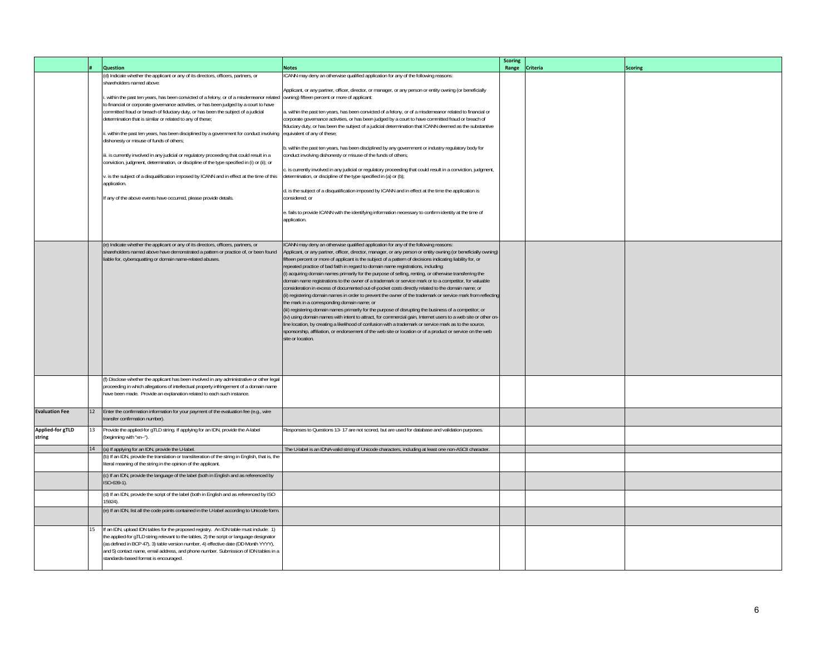|                       |    | <b>Question</b>                                                                                                                                                                  | <b>Notes</b>                                                                                                                                                                                    | <b>Scoring</b><br>Range Criteria | <b>Scoring</b> |
|-----------------------|----|----------------------------------------------------------------------------------------------------------------------------------------------------------------------------------|-------------------------------------------------------------------------------------------------------------------------------------------------------------------------------------------------|----------------------------------|----------------|
|                       |    | (d) Indicate whether the applicant or any of its directors, officers, partners, or                                                                                               | CANN may deny an otherwise qualified application for any of the following reasons:                                                                                                              |                                  |                |
|                       |    | shareholders named above:                                                                                                                                                        |                                                                                                                                                                                                 |                                  |                |
|                       |    |                                                                                                                                                                                  | Applicant, or any partner, officer, director, or manager, or any person or entity owning (or beneficially                                                                                       |                                  |                |
|                       |    | within the past ten years, has been convicted of a felony, or of a misdemeanor related<br>to financial or corporate governance activities, or has been judged by a court to have | owning) fifteen percent or more of applicant:                                                                                                                                                   |                                  |                |
|                       |    | committed fraud or breach of fiduciary duty, or has been the subject of a judicial                                                                                               | a. within the past ten years, has been convicted of a felony, or of a misdemeanor related to financial or                                                                                       |                                  |                |
|                       |    | determination that is similar or related to any of these;                                                                                                                        | corporate governance activities, or has been judged by a court to have committed fraud or breach of                                                                                             |                                  |                |
|                       |    |                                                                                                                                                                                  | fiduciary duty, or has been the subject of a judicial determination that ICANN deemed as the substantive                                                                                        |                                  |                |
|                       |    | i. within the past ten years, has been disciplined by a government for conduct involving<br>dishonesty or misuse of funds of others;                                             | equivalent of any of these;                                                                                                                                                                     |                                  |                |
|                       |    |                                                                                                                                                                                  | b. within the past ten years, has been disciplined by any government or industry regulatory body for                                                                                            |                                  |                |
|                       |    | iii. is currently involved in any judicial or regulatory proceeding that could result in a                                                                                       | conduct involving dishonesty or misuse of the funds of others;                                                                                                                                  |                                  |                |
|                       |    | conviction, judgment, determination, or discipline of the type specified in (i) or (ii); or                                                                                      |                                                                                                                                                                                                 |                                  |                |
|                       |    | . is the subject of a disqualification imposed by ICANN and in effect at the time of this                                                                                        | is currently involved in any judicial or regulatory proceeding that could result in a conviction, judgment,<br>determination, or discipline of the type specified in (a) or (b);                |                                  |                |
|                       |    | application.                                                                                                                                                                     |                                                                                                                                                                                                 |                                  |                |
|                       |    |                                                                                                                                                                                  | d. is the subject of a disqualification imposed by ICANN and in effect at the time the application is                                                                                           |                                  |                |
|                       |    | If any of the above events have occurred, please provide details.                                                                                                                | considered; or                                                                                                                                                                                  |                                  |                |
|                       |    |                                                                                                                                                                                  | e. fails to provide ICANN with the identifying information necessary to confirm identity at the time of                                                                                         |                                  |                |
|                       |    |                                                                                                                                                                                  | application.                                                                                                                                                                                    |                                  |                |
|                       |    |                                                                                                                                                                                  |                                                                                                                                                                                                 |                                  |                |
|                       |    |                                                                                                                                                                                  |                                                                                                                                                                                                 |                                  |                |
|                       |    | e) Indicate whether the applicant or any of its directors, officers, partners, or                                                                                                | CANN may deny an otherwise qualified application for any of the following reasons:                                                                                                              |                                  |                |
|                       |    | shareholders named above have demonstrated a pattern or practice of, or been found                                                                                               | Applicant, or any partner, officer, director, manager, or any person or entity owning (or beneficially owning)                                                                                  |                                  |                |
|                       |    | liable for, cybersquatting or domain name-related abuses.                                                                                                                        | fifteen percent or more of applicant is the subject of a pattern of decisions indicating liability for, or<br>repeated practice of bad faith in regard to domain name registrations, including: |                                  |                |
|                       |    |                                                                                                                                                                                  | (i) acquiring domain names primarily for the purpose of selling, renting, or otherwise transferring the                                                                                         |                                  |                |
|                       |    |                                                                                                                                                                                  | domain name registrations to the owner of a trademark or service mark or to a competitor, for valuable                                                                                          |                                  |                |
|                       |    |                                                                                                                                                                                  | consideration in excess of documented out-of-pocket costs directly related to the domain name; or                                                                                               |                                  |                |
|                       |    |                                                                                                                                                                                  | (ii) registering domain names in order to prevent the owner of the trademark or service mark from reflecting<br>the mark in a corresponding domain name; or                                     |                                  |                |
|                       |    |                                                                                                                                                                                  | (iii) registering domain names primarily for the purpose of disrupting the business of a competitor; or                                                                                         |                                  |                |
|                       |    |                                                                                                                                                                                  | (iv) using domain names with intent to attract, for commercial gain, Internet users to a web site or other on-                                                                                  |                                  |                |
|                       |    |                                                                                                                                                                                  | line location, by creating a likelihood of confusion with a trademark or service mark as to the source,                                                                                         |                                  |                |
|                       |    |                                                                                                                                                                                  | sponsorship, affiliation, or endorsement of the web site or location or of a product or service on the web                                                                                      |                                  |                |
|                       |    |                                                                                                                                                                                  | site or location.                                                                                                                                                                               |                                  |                |
|                       |    |                                                                                                                                                                                  |                                                                                                                                                                                                 |                                  |                |
|                       |    |                                                                                                                                                                                  |                                                                                                                                                                                                 |                                  |                |
|                       |    |                                                                                                                                                                                  |                                                                                                                                                                                                 |                                  |                |
|                       |    | f) Disclose whether the applicant has been involved in any administrative or other legal                                                                                         |                                                                                                                                                                                                 |                                  |                |
|                       |    | proceeding in which allegations of intellectual property infringement of a domain name                                                                                           |                                                                                                                                                                                                 |                                  |                |
|                       |    | have been made. Provide an explanation related to each such instance.                                                                                                            |                                                                                                                                                                                                 |                                  |                |
| <b>Evaluation Fee</b> |    |                                                                                                                                                                                  |                                                                                                                                                                                                 |                                  |                |
|                       | 12 | Enter the confirmation information for your payment of the evaluation fee (e.g., wire<br>transfer confirmation number).                                                          |                                                                                                                                                                                                 |                                  |                |
| Applied-for gTLD      |    | Provide the applied-for gTLD string. If applying for an IDN, provide the A-label                                                                                                 |                                                                                                                                                                                                 |                                  |                |
| string                | 13 | (beginning with "xn--").                                                                                                                                                         | Responses to Questions 13-17 are not scored, but are used for database and validation purposes.                                                                                                 |                                  |                |
|                       |    |                                                                                                                                                                                  |                                                                                                                                                                                                 |                                  |                |
|                       | 14 | (a) If applying for an IDN, provide the U-label.<br>(b) If an IDN, provide the translation or transliteration of the string in English, that is, the                             | The U-label is an IDNA-valid string of Unicode characters, including at least one non-ASCII character.                                                                                          |                                  |                |
|                       |    | literal meaning of the string in the opinion of the applicant                                                                                                                    |                                                                                                                                                                                                 |                                  |                |
|                       |    | (c) If an IDN, provide the language of the label (both in English and as referenced by                                                                                           |                                                                                                                                                                                                 |                                  |                |
|                       |    | ISO-639-1).                                                                                                                                                                      |                                                                                                                                                                                                 |                                  |                |
|                       |    | (d) If an IDN, provide the script of the label (both in English and as referenced by ISO                                                                                         |                                                                                                                                                                                                 |                                  |                |
|                       |    | 5924).                                                                                                                                                                           |                                                                                                                                                                                                 |                                  |                |
|                       |    | (e) If an IDN, list all the code points contained in the U-label according to Unicode form.                                                                                      |                                                                                                                                                                                                 |                                  |                |
|                       |    |                                                                                                                                                                                  |                                                                                                                                                                                                 |                                  |                |
|                       | 15 | If an IDN, upload IDN tables for the proposed registry. An IDN table must include: 1)                                                                                            |                                                                                                                                                                                                 |                                  |                |
|                       |    | the applied-for gTLD string relevant to the tables, 2) the script or language designator                                                                                         |                                                                                                                                                                                                 |                                  |                |
|                       |    | (as defined in BCP 47), 3) table version number, 4) effective date (DD Month YYYY),                                                                                              |                                                                                                                                                                                                 |                                  |                |
|                       |    | and 5) contact name, email address, and phone number. Submission of IDN tables in a                                                                                              |                                                                                                                                                                                                 |                                  |                |
|                       |    | standards-based format is encouraged.                                                                                                                                            |                                                                                                                                                                                                 |                                  |                |
|                       |    |                                                                                                                                                                                  |                                                                                                                                                                                                 |                                  |                |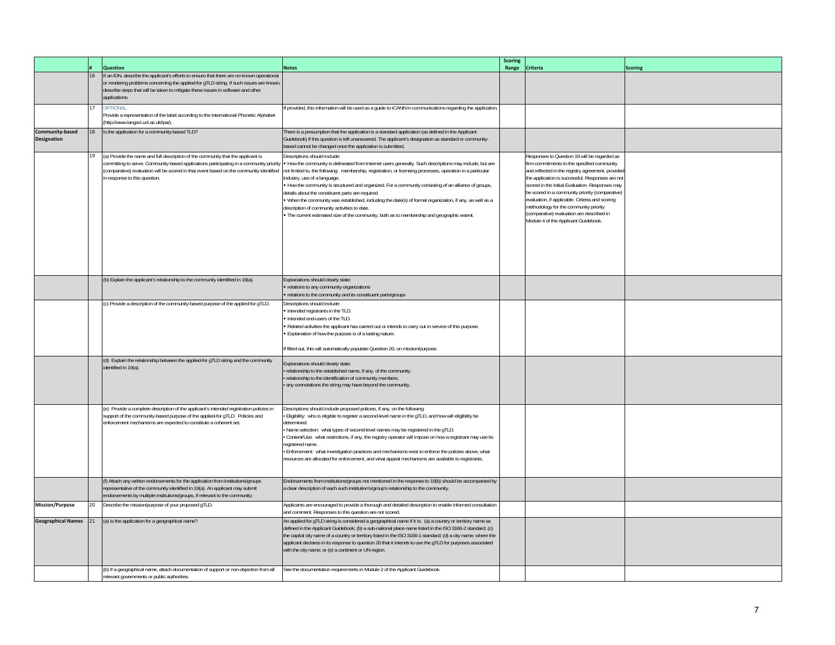|                                       |    | <b>Question</b>                                                                                                                                                                                                                                                                          | <b>Notes</b>                                                                                                                                                                                                                                                                                                                                                                                                                                                                                                                                                                                                                                                                                                                                                                                          | <b>Scoring</b><br>Range | Criteria                                                                                                                                                                                                                                                                                                                                                                                                                                                                                  | <b>Scoring</b> |
|---------------------------------------|----|------------------------------------------------------------------------------------------------------------------------------------------------------------------------------------------------------------------------------------------------------------------------------------------|-------------------------------------------------------------------------------------------------------------------------------------------------------------------------------------------------------------------------------------------------------------------------------------------------------------------------------------------------------------------------------------------------------------------------------------------------------------------------------------------------------------------------------------------------------------------------------------------------------------------------------------------------------------------------------------------------------------------------------------------------------------------------------------------------------|-------------------------|-------------------------------------------------------------------------------------------------------------------------------------------------------------------------------------------------------------------------------------------------------------------------------------------------------------------------------------------------------------------------------------------------------------------------------------------------------------------------------------------|----------------|
|                                       | 16 | If an IDN, describe the applicant's efforts to ensure that there are no known operational<br>or rendering problems concerning the applied-for gTLD string. If such issues are known<br>describe steps that will be taken to mitigate these issues in software and other<br>applications. |                                                                                                                                                                                                                                                                                                                                                                                                                                                                                                                                                                                                                                                                                                                                                                                                       |                         |                                                                                                                                                                                                                                                                                                                                                                                                                                                                                           |                |
|                                       | 17 | <b>OPTIONAL</b><br>Provide a representation of the label according to the International Phonetic Alphabet<br>(http://www.langsci.ucl.ac.uk/ipa/).                                                                                                                                        | f provided, this information will be used as a guide to ICANN in communications regarding the application.                                                                                                                                                                                                                                                                                                                                                                                                                                                                                                                                                                                                                                                                                            |                         |                                                                                                                                                                                                                                                                                                                                                                                                                                                                                           |                |
| Community-based<br><b>Designation</b> | 18 | Is the application for a community-based TLD?                                                                                                                                                                                                                                            | There is a presumption that the application is a standard application (as defined in the Applicant<br>Guidebook) if this question is left unanswered. The applicant's designation as standard or community-<br>based cannot be changed once the application is submitted.                                                                                                                                                                                                                                                                                                                                                                                                                                                                                                                             |                         |                                                                                                                                                                                                                                                                                                                                                                                                                                                                                           |                |
|                                       | 19 | (a) Provide the name and full description of the community that the applicant is<br>comparative) evaluation will be scored in that event based on the community identified<br>n response to this question.                                                                               | Descriptions should include<br>committing to serve. Community-based applications participating in a community priority • How the community is delineated from Internet users generally. Such descriptions may include, but are<br>not limited to, the following: membership, registration, or licensing processes, operation in a particular<br>industry, use of a language.<br>. How the community is structured and organized. For a community consisting of an alliance of groups,<br>details about the constituent parts are required.<br>. When the community was established, including the date(s) of formal organization, if any, as well as a<br>description of community activities to date.<br>. The current estimated size of the community, both as to membership and geographic extent. |                         | Responses to Question 19 will be regarded as<br>firm commitments to the specified community<br>and reflected in the registry agreement, provide<br>he application is successful. Responses are no<br>scored in the Initial Evaluation. Responses may<br>be scored in a community priority (comparative)<br>evaluation, if applicable. Criteria and scoring<br>methodology for the community priority<br>(comparative) evaluation are described in<br>Module 4 of the Applicant Guidebook. |                |
|                                       |    | (b) Explain the applicant's relationship to the community identified in 19(a).                                                                                                                                                                                                           | Explanations should clearly state:<br>relations to any community organizations<br>relations to the community and its constituent parts/groups                                                                                                                                                                                                                                                                                                                                                                                                                                                                                                                                                                                                                                                         |                         |                                                                                                                                                                                                                                                                                                                                                                                                                                                                                           |                |
|                                       |    | (c) Provide a description of the community-based purpose of the applied-for gTLD.                                                                                                                                                                                                        | Descriptions should include:<br>Intended registrants in the TLD.<br>Intended end-users of the TLD.<br>Related activities the applicant has carried out or intends to carry out in service of this purpose.<br>· Explanation of how the purpose is of a lasting nature.<br>If filled out, this will automatically populate Question 20, on mission/purpose.                                                                                                                                                                                                                                                                                                                                                                                                                                            |                         |                                                                                                                                                                                                                                                                                                                                                                                                                                                                                           |                |
|                                       |    | (d) Explain the relationship between the applied-for gTLD string and the community<br>identified in 19(a)                                                                                                                                                                                | Explanations should clearly state:<br>relationship to the established name, if any, of the community.<br>relationship to the identification of community members.<br>any connotations the string may have beyond the community.                                                                                                                                                                                                                                                                                                                                                                                                                                                                                                                                                                       |                         |                                                                                                                                                                                                                                                                                                                                                                                                                                                                                           |                |
|                                       |    | e) Provide a complete description of the applicant's intended registration policies in<br>support of the community-based purpose of the applied-for gTLD. Policies and<br>enforcement mechanisms are expected to constitute a coherent set.                                              | Descriptions should include proposed policies, if any, on the following:<br>Eligibility: who is eligible to register a second-level name in the gTLD, and how will eligibility be<br>determined.<br>Name selection: what types of second-level names may be registered in the gTLD.<br>Content/Use: what restrictions, if any, the registry operator will impose on how a registrant may use its<br>registered name.<br>Enforcement: what investigation practices and mechanisms exist to enforce the policies above, what<br>resources are allocated for enforcement, and what appeal mechanisms are available to registrants.                                                                                                                                                                       |                         |                                                                                                                                                                                                                                                                                                                                                                                                                                                                                           |                |
|                                       |    | (f) Attach any written endorsements for the application from institutions/groups<br>representative of the community identified in 19(a). An applicant may submit<br>endorsements by multiple institutions/groups, if relevant to the community.                                          | Endorsements from institutions/groups not mentioned in the response to 19(b) should be accompanied by<br>a clear description of each such institution's/group's relationship to the community.                                                                                                                                                                                                                                                                                                                                                                                                                                                                                                                                                                                                        |                         |                                                                                                                                                                                                                                                                                                                                                                                                                                                                                           |                |
| <b>Mission/Purpose</b>                | 20 | Describe the mission/purpose of your proposed gTLD.                                                                                                                                                                                                                                      | Applicants are encouraged to provide a thorough and detailed description to enable informed consultation<br>and comment. Responses to this question are not scored.                                                                                                                                                                                                                                                                                                                                                                                                                                                                                                                                                                                                                                   |                         |                                                                                                                                                                                                                                                                                                                                                                                                                                                                                           |                |
| <b>Geographical Names</b>             | 21 | (a) Is the application for a geographical name?                                                                                                                                                                                                                                          | An applied-for gTLD string is considered a geographical name if it is: (a) a country or territory name as<br>defined in the Applicant Guidebook; (b) a sub-national place name listed in the ISO 3166-2 standard; (c)<br>the capital city name of a country or territory listed in the ISO 3166-1 standard; (d) a city name, where the<br>applicant declares in its response to question 20 that it intends to use the gTLD for purposes associated<br>with the city name; or (e) a continent or UN region.                                                                                                                                                                                                                                                                                           |                         |                                                                                                                                                                                                                                                                                                                                                                                                                                                                                           |                |
|                                       |    | (b) If a geographical name, attach documentation of support or non-objection from all<br>relevant governments or public authorities.                                                                                                                                                     | See the documentation requirements in Module 2 of the Applicant Guidebook                                                                                                                                                                                                                                                                                                                                                                                                                                                                                                                                                                                                                                                                                                                             |                         |                                                                                                                                                                                                                                                                                                                                                                                                                                                                                           |                |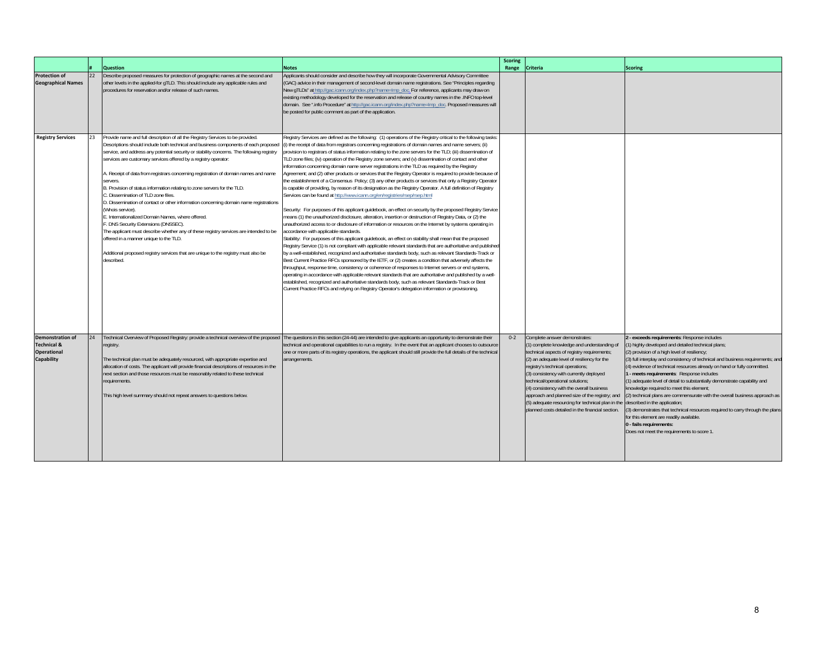|                                                                                              |    |                                                                                                                                                                                                                                                                                                                                                                                                                                                                                                                                                                                                                                                                                                                                                                                                                                                                                                                                                                                                            |                                                                                                                                                                                                                                                                                                                                                                                                                                                                                                                                                                                                                                                                                                                                                                                                                                                                                                                                                                                                                                                                                                                                                                                                                                                                                                                                                                                                                                                                                                                                                                                                                                                                                                                                                                                                                                                                                                                                                                                                                                                                                                                                                                                                                                                       | <b>Scoring</b> |                                                                                                                                                                                                                                                                                                                                                                                                                                                                                                     |                                                                                                                                                                                                                                                                                                                                                                                                                                                                                                                                                                                                                                                                                                                                                                                                |
|----------------------------------------------------------------------------------------------|----|------------------------------------------------------------------------------------------------------------------------------------------------------------------------------------------------------------------------------------------------------------------------------------------------------------------------------------------------------------------------------------------------------------------------------------------------------------------------------------------------------------------------------------------------------------------------------------------------------------------------------------------------------------------------------------------------------------------------------------------------------------------------------------------------------------------------------------------------------------------------------------------------------------------------------------------------------------------------------------------------------------|-------------------------------------------------------------------------------------------------------------------------------------------------------------------------------------------------------------------------------------------------------------------------------------------------------------------------------------------------------------------------------------------------------------------------------------------------------------------------------------------------------------------------------------------------------------------------------------------------------------------------------------------------------------------------------------------------------------------------------------------------------------------------------------------------------------------------------------------------------------------------------------------------------------------------------------------------------------------------------------------------------------------------------------------------------------------------------------------------------------------------------------------------------------------------------------------------------------------------------------------------------------------------------------------------------------------------------------------------------------------------------------------------------------------------------------------------------------------------------------------------------------------------------------------------------------------------------------------------------------------------------------------------------------------------------------------------------------------------------------------------------------------------------------------------------------------------------------------------------------------------------------------------------------------------------------------------------------------------------------------------------------------------------------------------------------------------------------------------------------------------------------------------------------------------------------------------------------------------------------------------------|----------------|-----------------------------------------------------------------------------------------------------------------------------------------------------------------------------------------------------------------------------------------------------------------------------------------------------------------------------------------------------------------------------------------------------------------------------------------------------------------------------------------------------|------------------------------------------------------------------------------------------------------------------------------------------------------------------------------------------------------------------------------------------------------------------------------------------------------------------------------------------------------------------------------------------------------------------------------------------------------------------------------------------------------------------------------------------------------------------------------------------------------------------------------------------------------------------------------------------------------------------------------------------------------------------------------------------------|
|                                                                                              |    | <b>Question</b>                                                                                                                                                                                                                                                                                                                                                                                                                                                                                                                                                                                                                                                                                                                                                                                                                                                                                                                                                                                            | <b>Notes</b>                                                                                                                                                                                                                                                                                                                                                                                                                                                                                                                                                                                                                                                                                                                                                                                                                                                                                                                                                                                                                                                                                                                                                                                                                                                                                                                                                                                                                                                                                                                                                                                                                                                                                                                                                                                                                                                                                                                                                                                                                                                                                                                                                                                                                                          | Range          | Criteria                                                                                                                                                                                                                                                                                                                                                                                                                                                                                            | <b>Scoring</b>                                                                                                                                                                                                                                                                                                                                                                                                                                                                                                                                                                                                                                                                                                                                                                                 |
| <b>Protection of</b><br><b>Geographical Names</b>                                            | 22 | Describe proposed measures for protection of geographic names at the second and<br>other levels in the applied-for gTLD. This should include any applicable rules and<br>procedures for reservation and/or release of such names.                                                                                                                                                                                                                                                                                                                                                                                                                                                                                                                                                                                                                                                                                                                                                                          | Applicants should consider and describe how they will incorporate Governmental Advisory Committee<br>(GAC) advice in their management of second-level domain name registrations. See "Principles regarding<br>New gTLDs" at http://gac.icann.org/index.php?name=Imp_doc. For reference, applicants may draw on<br>existing methodology developed for the reservation and release of country names in the .INFO top-level<br>domain. See ".info Procedure" at http://gac.icann.org/index.php?name=Imp_doc. Proposed measures will<br>be posted for public comment as part of the application.                                                                                                                                                                                                                                                                                                                                                                                                                                                                                                                                                                                                                                                                                                                                                                                                                                                                                                                                                                                                                                                                                                                                                                                                                                                                                                                                                                                                                                                                                                                                                                                                                                                          |                |                                                                                                                                                                                                                                                                                                                                                                                                                                                                                                     |                                                                                                                                                                                                                                                                                                                                                                                                                                                                                                                                                                                                                                                                                                                                                                                                |
| <b>Registry Services</b>                                                                     | 23 | Provide name and full description of all the Registry Services to be provided.<br>Descriptions should include both technical and business components of each proposed<br>service, and address any potential security or stability concerns. The following registry<br>services are customary services offered by a registry operator:<br>A. Receipt of data from registrars concerning registration of domain names and name<br>servers.<br>B. Provision of status information relating to zone servers for the TLD.<br>. Dissemination of TLD zone files.<br>D. Dissemination of contact or other information concerning domain name registrations<br>(Whois service).<br>E. Internationalized Domain Names, where offered.<br>. DNS Security Extensions (DNSSEC).<br>The applicant must describe whether any of these registry services are intended to be<br>offered in a manner unique to the TLD.<br>Additional proposed registry services that are unique to the registry must also be<br>described. | Registry Services are defined as the following: (1) operations of the Registry critical to the following tasks:<br>(i) the receipt of data from registrars concerning registrations of domain names and name servers; (ii)<br>provision to registrars of status information relating to the zone servers for the TLD; (iii) dissemination of<br>TLD zone files; (iv) operation of the Registry zone servers; and (v) dissemination of contact and other<br>information concerning domain name server registrations in the TLD as required by the Registry<br>Agreement; and (2) other products or services that the Registry Operator is required to provide because of<br>the establishment of a Consensus Policy; (3) any other products or services that only a Registry Operator<br>is capable of providing, by reason of its designation as the Registry Operator. A full definition of Registry<br>Services can be found at http://www.icann.org/en/registries/rsep/rsep.html<br>Security: For purposes of this applicant guidebook, an effect on security by the proposed Registry Service<br>means (1) the unauthorized disclosure, alteration, insertion or destruction of Registry Data, or (2) the<br>unauthorized access to or disclosure of information or resources on the Internet by systems operating in<br>accordance with applicable standards.<br>Stability: For purposes of this applicant quidebook, an effect on stability shall mean that the proposed<br>Registry Service (1) is not compliant with applicable relevant standards that are authoritative and published<br>by a well-established, recognized and authoritative standards body, such as relevant Standards-Track or<br>Best Current Practice RFCs sponsored by the IETF, or (2) creates a condition that adversely affects the<br>throughput, response time, consistency or coherence of responses to Internet servers or end systems,<br>operating in accordance with applicable relevant standards that are authoritative and published by a well-<br>established, recognized and authoritative standards body, such as relevant Standards-Track or Best<br>Current Practice RFCs and relying on Registry Operator's delegation information or provisioning. |                |                                                                                                                                                                                                                                                                                                                                                                                                                                                                                                     |                                                                                                                                                                                                                                                                                                                                                                                                                                                                                                                                                                                                                                                                                                                                                                                                |
| <b>Demonstration of</b><br><b>Technical &amp;</b><br><b>Operational</b><br><b>Capability</b> | 24 | registry.<br>The technical plan must be adequately resourced, with appropriate expertise and<br>allocation of costs. The applicant will provide financial descriptions of resources in the<br>next section and those resources must be reasonably related to these technical<br>requirements.<br>This high level summary should not repeat answers to questions below.                                                                                                                                                                                                                                                                                                                                                                                                                                                                                                                                                                                                                                     | Technical Overview of Proposed Registry: provide a technical overview of the proposed  The questions in this section (24-44) are intended to give applicants an opportunity to demonstrate their<br>technical and operational capabilities to run a registry. In the event that an applicant chooses to outsource<br>one or more parts of its registry operations, the applicant should still provide the full details of the technical<br>arrangements.                                                                                                                                                                                                                                                                                                                                                                                                                                                                                                                                                                                                                                                                                                                                                                                                                                                                                                                                                                                                                                                                                                                                                                                                                                                                                                                                                                                                                                                                                                                                                                                                                                                                                                                                                                                              | $0 - 2$        | Complete answer demonstrates:<br>1) complete knowledge and understanding of<br>technical aspects of registry requirements;<br>(2) an adequate level of resiliency for the<br>egistry's technical operations;<br>(3) consistency with currently deployed<br>technical/operational solutions;<br>(4) consistency with the overall business<br>approach and planned size of the registry; and<br>(5) adequate resourcing for technical plan in the<br>planned costs detailed in the financial section. | exceeds requirements: Response includes<br>1) highly developed and detailed technical plans;<br>(2) provision of a high level of resiliency;<br>(3) full interplay and consistency of technical and business requirements; and<br>(4) evidence of technical resources already on hand or fully committed.<br>- meets requirements: Response includes<br>1) adequate level of detail to substantially demonstrate capability and<br>knowledge required to meet this element;<br>(2) technical plans are commensurate with the overall business approach as<br>described in the application;<br>(3) demonstrates that technical resources required to carry through the plans<br>for this element are readily available.<br>0 - fails requirements:<br>Does not meet the requirements to score 1 |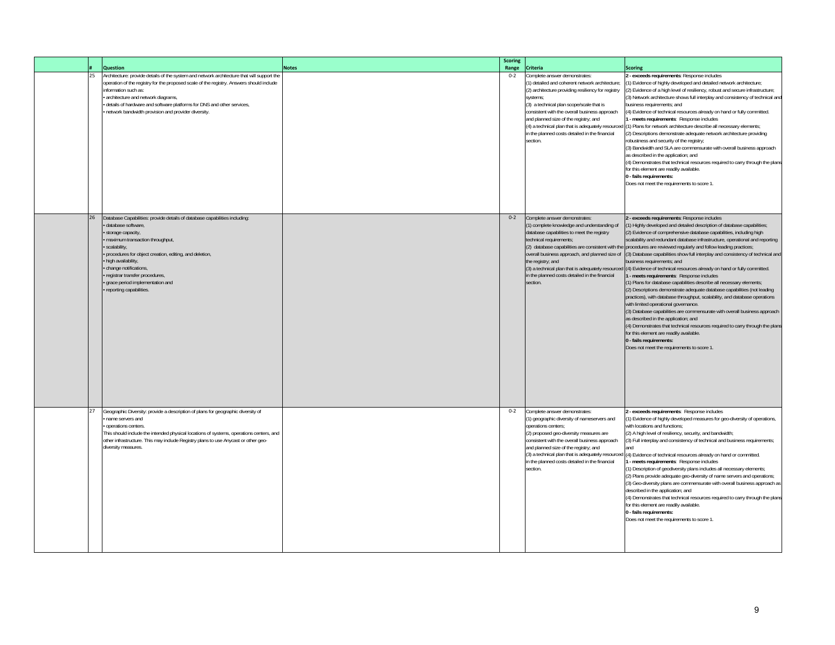|  |    | <b>Question</b>                                                                                                                                                                                                                                                                                                                                                                       | <b>Notes</b> | <b>Scoring</b><br>Range | <b>Criteria</b>                                                                                                                                                                                                                                                                                                                                                                                             | <b>Scoring</b>                                                                                                                                                                                                                                                                                                                                                                                                                                                                                                                                                                                                                                                                                                                                                                                                                                                                                                                                                                                                                                                                                                                                                                                                                                                                                 |
|--|----|---------------------------------------------------------------------------------------------------------------------------------------------------------------------------------------------------------------------------------------------------------------------------------------------------------------------------------------------------------------------------------------|--------------|-------------------------|-------------------------------------------------------------------------------------------------------------------------------------------------------------------------------------------------------------------------------------------------------------------------------------------------------------------------------------------------------------------------------------------------------------|------------------------------------------------------------------------------------------------------------------------------------------------------------------------------------------------------------------------------------------------------------------------------------------------------------------------------------------------------------------------------------------------------------------------------------------------------------------------------------------------------------------------------------------------------------------------------------------------------------------------------------------------------------------------------------------------------------------------------------------------------------------------------------------------------------------------------------------------------------------------------------------------------------------------------------------------------------------------------------------------------------------------------------------------------------------------------------------------------------------------------------------------------------------------------------------------------------------------------------------------------------------------------------------------|
|  | 25 | Architecture: provide details of the system and network architecture that will support the<br>operation of the registry for the proposed scale of the registry. Answers should include<br>information such as:<br>architecture and network diagrams,<br>details of hardware and software platforms for DNS and other services,<br>network bandwidth provision and provider diversity. |              | $0 - 2$                 | Complete answer demonstrates:<br>(1) detailed and coherent network architecture;<br>(2) architecture providing resiliency for registry<br>systems:<br>(3) a technical plan scope/scale that is<br>consistent with the overall business approach<br>and planned size of the registry; and<br>(4) a technical plan that is adequately resourced<br>in the planned costs detailed in the financial<br>section. | 2 - exceeds requirements: Response includes<br>(1) Evidence of highly developed and detailed network architecture;<br>(2) Evidence of a high level of resiliency, robust and secure infrastructure;<br>(3) Network architecture shows full interplay and consistency of technical and<br>business requirements; and<br>4) Evidence of technical resources already on hand or fully committed.<br>- meets requirements: Response includes<br>(1) Plans for network architecture describe all necessary elements;<br>(2) Descriptions demonstrate adequate network architecture providing<br>robustness and security of the registry;<br>(3) Bandwidth and SLA are commensurate with overall business approach<br>as described in the application; and<br>(4) Demonstrates that technical resources required to carry through the plans<br>for this element are readily available.<br>0 - fails requirements:<br>Does not meet the requirements to score 1                                                                                                                                                                                                                                                                                                                                       |
|  | 26 | Database Capabilities: provide details of database capabilities including:<br>database software,<br>storage capacity,<br>maximum transaction throughput,<br>scalability,<br>procedures for object creation, editing, and deletion,<br>high availability,<br>change notifications,<br>registrar transfer procedures,<br>grace period implementation and<br>reporting capabilities.     |              | $0 - 2$                 | Complete answer demonstrates:<br>(1) complete knowledge and understanding of<br>database capabilities to meet the registry<br>technical requirements;<br>overall business approach, and planned size of<br>the registry; and<br>in the planned costs detailed in the financial<br>section.                                                                                                                  | 2 - exceeds requirements: Response includes<br>1) Highly developed and detailed description of database capabilities;<br>(2) Evidence of comprehensive database capabilities, including high<br>scalability and redundant database infrastructure, operational and reporting<br>(2) database capabilities are consistent with the procedures are reviewed regularly and follow leading practices;<br>(3) Database capabilities show full interplay and consistency of technical and<br>business requirements; and<br>(3) a technical plan that is adequately resourced (4) Evidence of technical resources already on hand or fully committed.<br>1 - meets requirements: Response includes<br>(1) Plans for database capabilities describe all necessary elements;<br>(2) Descriptions demonstrate adequate database capabilities (not leading<br>practices), with database throughput, scalability, and database operations<br>with limited operational governance.<br>(3) Database capabilities are commensurate with overall business approach<br>as described in the application; and<br>(4) Demonstrates that technical resources required to carry through the plans<br>for this element are readily available.<br>0 - fails requirements:<br>Does not meet the requirements to score 1 |
|  | 27 | Geographic Diversity: provide a description of plans for geographic diversity of<br>name servers and<br>operations centers.<br>This should include the intended physical locations of systems, operations centers, and<br>other infrastructure. This may include Registry plans to use Anycast or other geo-<br>diversity measures.                                                   |              | $0 - 2$                 | Complete answer demonstrates:<br>(1) geographic diversity of nameservers and<br>operations centers;<br>(2) proposed geo-diversity measures are<br>consistent with the overall business approach<br>and planned size of the registry; and<br>(3) a technical plan that is adequately resourced<br>in the planned costs detailed in the financial<br>section.                                                 | 2 - exceeds requirements: Response includes<br>(1) Evidence of highly developed measures for geo-diversity of operations,<br>with locations and functions;<br>(2) A high level of resiliency, security, and bandwidth;<br>(3) Full interplay and consistency of technical and business requirements;<br>(4) Evidence of technical resources already on hand or committed.<br>- meets requirements: Response includes<br>(1) Description of geodiversity plans includes all necessary elements;<br>(2) Plans provide adequate geo-diversity of name servers and operations;<br>(3) Geo-diversity plans are commensurate with overall business approach as<br>described in the application; and<br>(4) Demonstrates that technical resources required to carry through the plans<br>for this element are readily available.<br>0 - fails requirements:<br>Does not meet the requirements to score 1                                                                                                                                                                                                                                                                                                                                                                                              |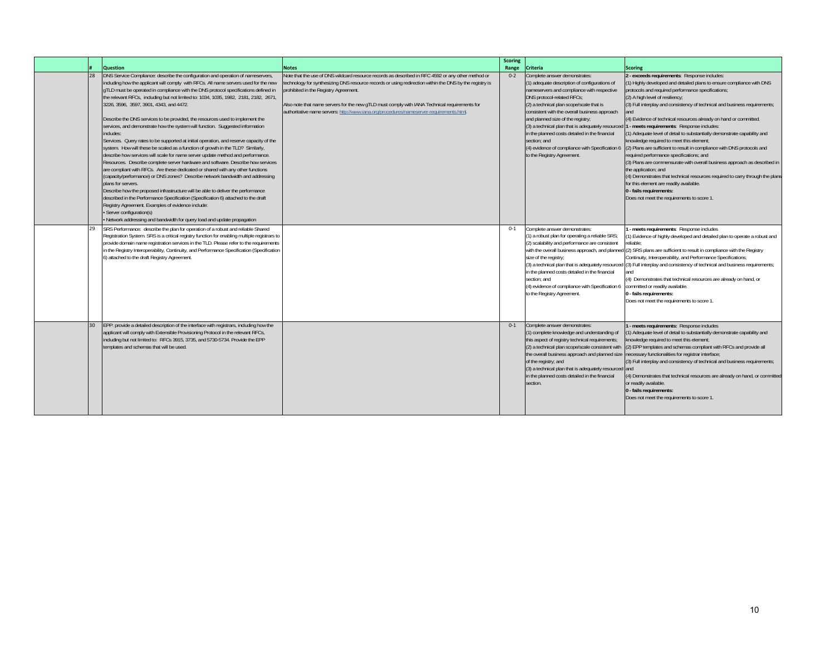|                 | <b>Question</b>                                                                                                                                                                                                                                                                                                                                                                                                                                                                                                                                                                                                                                                                                                                                                                                                                                                                                                                                                                                                                                                                                                                                                                                                                                                                                                                                                                                                                                                           | <b>Notes</b>                                                                                                                                                                                                                                                                                                                                                                                                                                      | <b>Scoring</b><br>Range | <b>Criteria</b>                                                                                                                                                                                                                                                                                                                                                                                                                                                                              | <b>Scoring</b>                                                                                                                                                                                                                                                                                                                                                                                                                                                                                                                                                                                                                                                                                                                                                                                                                                                                                                                                                           |
|-----------------|---------------------------------------------------------------------------------------------------------------------------------------------------------------------------------------------------------------------------------------------------------------------------------------------------------------------------------------------------------------------------------------------------------------------------------------------------------------------------------------------------------------------------------------------------------------------------------------------------------------------------------------------------------------------------------------------------------------------------------------------------------------------------------------------------------------------------------------------------------------------------------------------------------------------------------------------------------------------------------------------------------------------------------------------------------------------------------------------------------------------------------------------------------------------------------------------------------------------------------------------------------------------------------------------------------------------------------------------------------------------------------------------------------------------------------------------------------------------------|---------------------------------------------------------------------------------------------------------------------------------------------------------------------------------------------------------------------------------------------------------------------------------------------------------------------------------------------------------------------------------------------------------------------------------------------------|-------------------------|----------------------------------------------------------------------------------------------------------------------------------------------------------------------------------------------------------------------------------------------------------------------------------------------------------------------------------------------------------------------------------------------------------------------------------------------------------------------------------------------|--------------------------------------------------------------------------------------------------------------------------------------------------------------------------------------------------------------------------------------------------------------------------------------------------------------------------------------------------------------------------------------------------------------------------------------------------------------------------------------------------------------------------------------------------------------------------------------------------------------------------------------------------------------------------------------------------------------------------------------------------------------------------------------------------------------------------------------------------------------------------------------------------------------------------------------------------------------------------|
| 28              | DNS Service Compliance: describe the configuration and operation of nameservers,<br>including how the applicant will comply with RFCs. All name servers used for the new<br>gTLD must be operated in compliance with the DNS protocol specifications defined in<br>the relevant RFCs, including but not limited to: 1034, 1035, 1982, 2181, 2182, 2671,<br>3226, 3596, 3597, 3901, 4343, and 4472.<br>Describe the DNS services to be provided, the resources used to implement the<br>services, and demonstrate how the system will function. Suggested information<br>includes:<br>Services. Query rates to be supported at initial operation, and reserve capacity of the<br>system. How will these be scaled as a function of growth in the TLD? Similarly,<br>describe how services will scale for name server update method and performance.<br>Resources. Describe complete server hardware and software. Describe how services<br>are compliant with RFCs. Are these dedicated or shared with any other functions<br>(capacity/performance) or DNS zones? Describe network bandwidth and addressing<br>plans for servers.<br>Describe how the proposed infrastructure will be able to deliver the performance<br>described in the Performance Specification (Specification 6) attached to the draft<br>Registry Agreement. Examples of evidence include:<br>· Server configuration(s)<br>• Network addressing and bandwidth for query load and update propagation | Note that the use of DNS wildcard resource records as described in RFC 4592 or any other method or<br>echnology for synthesizing DNS resource records or using redirection within the DNS by the registry is<br>prohibited in the Registry Agreement.<br>Also note that name servers for the new gTLD must comply with IANA Technical requirements for<br>authoritative name servers: http://www.iana.org/procedures/nameserver-requirements.html | $0 - 2$                 | Complete answer demonstrates:<br>(1) adequate description of configurations of<br>nameservers and compliance with respective<br>DNS protocol-related RFCs;<br>(2) a technical plan scope/scale that is<br>consistent with the overall business approach<br>and planned size of the registry;<br>(3) a technical plan that is adequately resourced 1 - meets requirements: Response includes:<br>in the planned costs detailed in the financial<br>section: and<br>to the Registry Agreement. | 2 - exceeds requirements: Response includes:<br>1) Highly developed and detailed plans to ensure compliance with DNS<br>protocols and required performance specifications;<br>(2) A high level of resiliency;<br>(3) Full interplay and consistency of technical and business requirements;<br>(4) Evidence of technical resources already on hand or committed.<br>1) Adequate level of detail to substantially demonstrate capability and<br>knowledge required to meet this element;<br>(4) evidence of compliance with Specification 6 (2) Plans are sufficient to result in compliance with DNS protocols and<br>required performance specifications; and<br>(3) Plans are commensurate with overall business approach as described in<br>the application; and<br>(4) Demonstrates that technical resources required to carry through the plans<br>for this element are readily available.<br>0 - fails requirements:<br>Does not meet the requirements to score 1. |
| 29              | SRS Performance: describe the plan for operation of a robust and reliable Shared<br>Registration System. SRS is a critical registry function for enabling multiple registrars to<br>provide domain name registration services in the TLD. Please refer to the requirements<br>in the Registry Interoperability, Continuity, and Performance Specification (Specification<br>6) attached to the draft Registry Agreement.                                                                                                                                                                                                                                                                                                                                                                                                                                                                                                                                                                                                                                                                                                                                                                                                                                                                                                                                                                                                                                                  |                                                                                                                                                                                                                                                                                                                                                                                                                                                   | $0 - 1$                 | Complete answer demonstrates:<br>(1) a robust plan for operating a reliable SRS;<br>(2) scalability and performance are consistent<br>size of the registry;<br>in the planned costs detailed in the financial<br>section; and<br>(4) evidence of compliance with Specification 6<br>to the Registry Agreement.                                                                                                                                                                               | - meets requirements: Response includes<br>1) Evidence of highly developed and detailed plan to operate a robust and<br>eliable <sup>.</sup><br>with the overall business approach, and planned (2) SRS plans are sufficient to result in compliance with the Registry<br>Continuity, Interoperability, and Performance Specifications;<br>(3) a technical plan that is adequately resourced (3) Full interplay and consistency of technical and business requirements;<br>(4) Demonstrates that technical resources are already on hand, or<br>committed or readily available.<br>0 - fails requirements:<br>Does not meet the requirements to score 1                                                                                                                                                                                                                                                                                                                  |
| 30 <sup>°</sup> | EPP: provide a detailed description of the interface with registrars, including how the<br>applicant will comply with Extensible Provisioning Protocol in the relevant RFCs,<br>including but not limited to: RFCs 3915, 3735, and 5730-5734. Provide the EPP<br>templates and schemas that will be used.                                                                                                                                                                                                                                                                                                                                                                                                                                                                                                                                                                                                                                                                                                                                                                                                                                                                                                                                                                                                                                                                                                                                                                 |                                                                                                                                                                                                                                                                                                                                                                                                                                                   | $0 - 1$                 | Complete answer demonstrates:<br>(1) complete knowledge and understanding of<br>this aspect of registry technical requirements;<br>(2) a technical plan scope/scale consistent with<br>the overall business approach and planned size<br>of the registry; and<br>(3) a technical plan that is adequately resourced and<br>in the planned costs detailed in the financial<br>section.                                                                                                         | - meets requirements: Response includes<br>1) Adequate level of detail to substantially demonstrate capability and<br>mowledge required to meet this element;<br>(2) EPP templates and schemas compliant with RFCs and provide all<br>necessary functionalities for registrar interface;<br>(3) Full interplay and consistency of technical and business requirements;<br>(4) Demonstrates that technical resources are already on hand, or committed<br>or readily available.<br>0 - fails requirements:<br>Does not meet the requirements to score 1                                                                                                                                                                                                                                                                                                                                                                                                                   |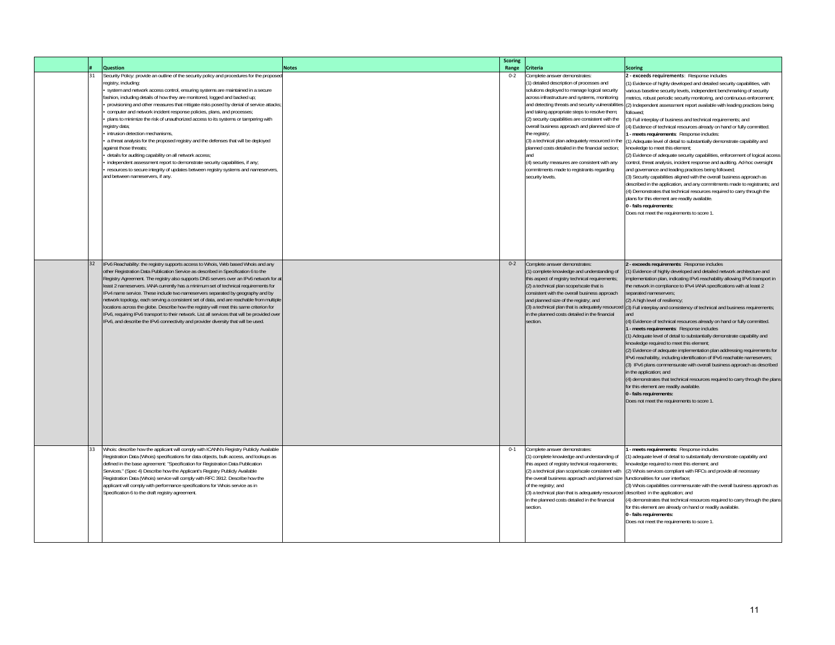|    | <b>Question</b>                                                                                                                                                                                                                                                                                                                                                                                                                                                                                                                                                                                                                                                                                                                                                                                                                                                                                                                                                                    | <b>Notes</b> | <b>Scoring</b><br>Range | <b>Criteria</b>                                                                                                                                                                                                                                                                                                                                                                                                                                                                                                                                                                                                                      | <b>Scoring</b>                                                                                                                                                                                                                                                                                                                                                                                                                                                                                                                                                                                                                                                                                                                                                                                                                                                                                                                                                                                                                                                                                                                                                                                                                                                     |
|----|------------------------------------------------------------------------------------------------------------------------------------------------------------------------------------------------------------------------------------------------------------------------------------------------------------------------------------------------------------------------------------------------------------------------------------------------------------------------------------------------------------------------------------------------------------------------------------------------------------------------------------------------------------------------------------------------------------------------------------------------------------------------------------------------------------------------------------------------------------------------------------------------------------------------------------------------------------------------------------|--------------|-------------------------|--------------------------------------------------------------------------------------------------------------------------------------------------------------------------------------------------------------------------------------------------------------------------------------------------------------------------------------------------------------------------------------------------------------------------------------------------------------------------------------------------------------------------------------------------------------------------------------------------------------------------------------|--------------------------------------------------------------------------------------------------------------------------------------------------------------------------------------------------------------------------------------------------------------------------------------------------------------------------------------------------------------------------------------------------------------------------------------------------------------------------------------------------------------------------------------------------------------------------------------------------------------------------------------------------------------------------------------------------------------------------------------------------------------------------------------------------------------------------------------------------------------------------------------------------------------------------------------------------------------------------------------------------------------------------------------------------------------------------------------------------------------------------------------------------------------------------------------------------------------------------------------------------------------------|
| 31 | Security Policy: provide an outline of the security policy and procedures for the propose<br>egistry, including:<br>system and network access control, ensuring systems are maintained in a secure<br>ashion, including details of how they are monitored, logged and backed up;<br>provisioning and other measures that mitigate risks posed by denial of service attacks;<br>computer and network incident response policies, plans, and processes;<br>plans to minimize the risk of unauthorized access to its systems or tampering with<br>egistry data;<br>intrusion detection mechanisms,<br>a threat analysis for the proposed registry and the defenses that will be deployed<br>against those threats:<br>details for auditing capability on all network access;<br>independent assessment report to demonstrate security capabilities, if any;<br>resources to secure integrity of updates between registry systems and nameservers,<br>and between nameservers, if any. |              | $0 - 2$                 | Complete answer demonstrates:<br>(1) detailed description of processes and<br>solutions deployed to manage logical security<br>across infrastructure and systems, monitoring<br>and detecting threats and security vulnerabilities<br>and taking appropriate steps to resolve them;<br>(2) security capabilities are consistent with the<br>overall business approach and planned size of<br>the registry;<br>(3) a technical plan adequately resourced in the<br>planned costs detailed in the financial section;<br>(4) security measures are consistent with any<br>commitments made to registrants regarding<br>security levels. | 2 - exceeds requirements: Response includes<br>(1) Evidence of highly developed and detailed security capabilities, with<br>various baseline security levels, independent benchmarking of security<br>netrics, robust periodic security monitoring, and continuous enforcement;<br>(2) Independent assessment report available with leading practices being<br>followed:<br>(3) Full interplay of business and technical requirements; and<br>4) Evidence of technical resources already on hand or fully committed.<br>- meets requirements: Response includes:<br>1) Adequate level of detail to substantially demonstrate capability and<br>knowledge to meet this element;<br>(2) Evidence of adequate security capabilities, enforcement of logical access<br>control, threat analysis, incident response and auditing. Ad-hoc oversight<br>and governance and leading practices being followed;<br>(3) Security capabilities aligned with the overall business approach as<br>described in the application, and any commitments made to registrants; and<br>(4) Demonstrates that technical resources required to carry through the<br>plans for this element are readily available.<br>0 - fails requirements:<br>Does not meet the requirements to score 1 |
| 32 | IPv6 Reachability: the registry supports access to Whois, Web based Whois and any<br>other Registration Data Publication Service as described in Specification 6 to the<br>Registry Agreement. The registry also supports DNS servers over an IPv6 network for at<br>least 2 nameservers. IANA currently has a minimum set of technical requirements for<br>IPv4 name service. These include two nameservers separated by geography and by<br>network topology, each serving a consistent set of data, and are reachable from multiple<br>locations across the globe. Describe how the registry will meet this same criterion for<br>IPv6, requiring IPv6 transport to their network. List all services that will be provided over<br>IPv6, and describe the IPv6 connectivity and provider diversity that will be used.                                                                                                                                                           |              | $0 - 2$                 | Complete answer demonstrates:<br>(1) complete knowledge and understanding of<br>this aspect of registry technical requirements;<br>(2) a technical plan scope/scale that is<br>consistent with the overall business approach<br>and planned size of the registry; and<br>(3) a technical plan that is adequately resourced<br>in the planned costs detailed in the financial<br>section.                                                                                                                                                                                                                                             | - exceeds requirements: Response includes<br>1) Evidence of highly developed and detailed network architecture and<br>implementation plan, indicating IPv6 reachability allowing IPv6 transport in<br>the network in compliance to IPv4 IANA specifications with at least 2<br>separated nameservers;<br>(2) A high level of resiliency;<br>(3) Full interplay and consistency of technical and business requirements;<br>and<br>(4) Evidence of technical resources already on hand or fully committed.<br>- meets requirements: Response includes<br>(1) Adequate level of detail to substantially demonstrate capability and<br>knowledge required to meet this element;<br>(2) Evidence of adequate implementation plan addressing requirements for<br>IPv6 reachability, including identification of IPv6 reachable nameservers;<br>(3) IPv6 plans commensurate with overall business approach as described<br>in the application; and<br>(4) demonstrates that technical resources required to carry through the plans<br>for this element are readily available.<br>0 - fails requirements:<br>Does not meet the requirements to score 1                                                                                                                    |
| 33 | Whois: describe how the applicant will comply with ICANN's Registry Publicly Available<br>Registration Data (Whois) specifications for data objects, bulk access, and lookups as<br>defined in the base agreement: "Specification for Registration Data Publication<br>Services." (Spec 4) Describe how the Applicant's Registry Publicly Available<br>Registration Data (Whois) service will comply with RFC 3912. Describe how the<br>applicant will comply with performance specifications for Whois service as in<br>Specification 6 to the draft registry agreement.                                                                                                                                                                                                                                                                                                                                                                                                          |              | $0 - 1$                 | Complete answer demonstrates:<br>(1) complete knowledge and understanding of<br>this aspect of registry technical requirements;<br>(2) a technical plan scope/scale consistent with<br>the overall business approach and planned size<br>of the registry; and<br>(3) a technical plan that is adequately resourced<br>in the planned costs detailed in the financial<br>section.                                                                                                                                                                                                                                                     | meets requirements: Response includes<br>1) adequate level of detail to substantially demonstrate capability and<br>mowledge required to meet this element; and<br>(2) Whois services compliant with RFCs and provide all necessary<br>functionalities for user interface;<br>3) Whois capabilities commensurate with the overall business approach as<br>described in the application; and<br>4) demonstrates that technical resources required to carry through the plans<br>for this element are already on hand or readily available.<br>0 - fails requirements:<br>Does not meet the requirements to score 1                                                                                                                                                                                                                                                                                                                                                                                                                                                                                                                                                                                                                                                  |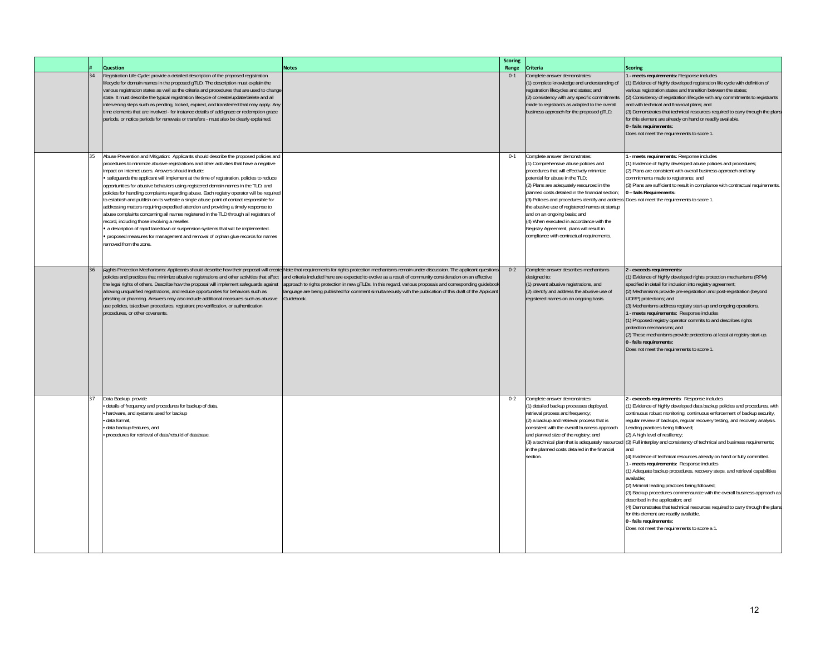|    | Question                                                                                                                                                                                                                                                                                                                                                                                                                                                                                                                                                                                                                                                                                                                                                                                                                                                                                                                                                                                                                                     | <b>Notes</b>                                                                                                                                                                                                                                                                                                                                                                                                                                                  | <b>Scoring</b><br>Range | Criteria                                                                                                                                                                                                                                                                                                                                                                                                                                                                                                                          | <b>Scoring</b>                                                                                                                                                                                                                                                                                                                                                                                                                                                                                                                                                                                                                                                                                                                                                                                                                                                                                                                                                                                                                                 |
|----|----------------------------------------------------------------------------------------------------------------------------------------------------------------------------------------------------------------------------------------------------------------------------------------------------------------------------------------------------------------------------------------------------------------------------------------------------------------------------------------------------------------------------------------------------------------------------------------------------------------------------------------------------------------------------------------------------------------------------------------------------------------------------------------------------------------------------------------------------------------------------------------------------------------------------------------------------------------------------------------------------------------------------------------------|---------------------------------------------------------------------------------------------------------------------------------------------------------------------------------------------------------------------------------------------------------------------------------------------------------------------------------------------------------------------------------------------------------------------------------------------------------------|-------------------------|-----------------------------------------------------------------------------------------------------------------------------------------------------------------------------------------------------------------------------------------------------------------------------------------------------------------------------------------------------------------------------------------------------------------------------------------------------------------------------------------------------------------------------------|------------------------------------------------------------------------------------------------------------------------------------------------------------------------------------------------------------------------------------------------------------------------------------------------------------------------------------------------------------------------------------------------------------------------------------------------------------------------------------------------------------------------------------------------------------------------------------------------------------------------------------------------------------------------------------------------------------------------------------------------------------------------------------------------------------------------------------------------------------------------------------------------------------------------------------------------------------------------------------------------------------------------------------------------|
| 34 | Registration Life Cycle: provide a detailed description of the proposed registration<br>lifecycle for domain names in the proposed gTLD. The description must explain the<br>various registration states as well as the criteria and procedures that are used to change<br>state. It must describe the typical registration lifecycle of create/update/delete and all<br>intervening steps such as pending, locked, expired, and transferred that may apply. Any<br>time elements that are involved - for instance details of add-grace or redemption grace<br>periods, or notice periods for renewals or transfers - must also be clearly explained.                                                                                                                                                                                                                                                                                                                                                                                        |                                                                                                                                                                                                                                                                                                                                                                                                                                                               | $0 - 1$                 | Complete answer demonstrates:<br>(1) complete knowledge and understanding of<br>registration lifecycles and states; and<br>(2) consistency with any specific commitments<br>made to registrants as adapted to the overall<br>business approach for the proposed gTLD.                                                                                                                                                                                                                                                             | - meets requirements: Response includes<br>(1) Evidence of highly developed registration life cycle with definition of<br>various registration states and transition between the states;<br>(2) Consistency of registration lifecycle with any commitments to registrants<br>and with technical and financial plans; and<br>(3) Demonstrates that technical resources required to carry through the plans<br>for this element are already on hand or readily available.<br>0 - fails requirements:<br>Does not meet the requirements to score 1.                                                                                                                                                                                                                                                                                                                                                                                                                                                                                               |
| 35 | Abuse Prevention and Mitigation: Applicants should describe the proposed policies and<br>procedures to minimize abusive registrations and other activities that have a negative<br>impact on Internet users. Answers should include:<br>safeguards the applicant will implement at the time of registration, policies to reduce<br>opportunities for abusive behaviors using registered domain names in the TLD, and<br>policies for handling complaints regarding abuse. Each registry operator will be required<br>to establish and publish on its website a single abuse point of contact responsible for<br>addressing matters requiring expedited attention and providing a timely response to<br>abuse complaints concerning all names registered in the TLD through all registrars of<br>ecord, including those involving a reseller.<br>a description of rapid takedown or suspension systems that will be implemented.<br>. proposed measures for management and removal of orphan glue records for names<br>removed from the zone. |                                                                                                                                                                                                                                                                                                                                                                                                                                                               | $0 - 1$                 | Complete answer demonstrates:<br>(1) Comprehensive abuse policies and<br>procedures that will effectively minimize<br>potential for abuse in the TLD;<br>(2) Plans are adequately resourced in the<br>planned costs detailed in the financial section;<br>(3) Policies and procedures identify and address<br>the abusive use of registered names at startup<br>and on an ongoing basis; and<br>(4) When executed in accordance with the<br>Registry Agreement, plans will result in<br>compliance with contractual requirements. | - meets requirements: Response includes<br>(1) Evidence of highly developed abuse policies and procedures;<br>(2) Plans are consistent with overall business approach and any<br>commitments made to registrants; and<br>(3) Plans are sufficient to result in compliance with contractual requirements.<br>0 - fails Requirements:<br>Does not meet the requirements to score 1.                                                                                                                                                                                                                                                                                                                                                                                                                                                                                                                                                                                                                                                              |
| 36 | Rights Protection Mechanisms: Applicants should describe how their proposal will creat<br>policies and practices that minimize abusive registrations and other activities that affect<br>the legal rights of others. Describe how the proposal will implement safeguards against<br>allowing unqualified registrations, and reduce opportunities for behaviors such as<br>phishing or pharming. Answers may also include additional measures such as abusive<br>use policies, takedown procedures, registrant pre-verification, or authentication<br>procedures, or other covenants.                                                                                                                                                                                                                                                                                                                                                                                                                                                         | Note that requirements for rights protection mechanisms remain under discussion. The applicant questions<br>and criteria included here are expected to evolve as a result of community consideration on an effective<br>approach to rights protection in new gTLDs. In this regard, various proposals and corresponding guidebook<br>anguage are being published for comment simultaneously with the publication of this draft of the Applicant<br>Guidebook. | $0 - 2$                 | Complete answer describes mechanisms<br>designed to:<br>(1) prevent abusive registrations, and<br>(2) identify and address the abusive use of<br>registered names on an ongoing basis.                                                                                                                                                                                                                                                                                                                                            | 2 - exceeds requirements:<br>(1) Evidence of highly developed rights protection mechanisms (RPM)<br>specified in detail for inclusion into registry agreement;<br>(2) Mechanisms provide pre-registration and post-registration (beyond<br>UDRP) protections; and<br>(3) Mechanisms address registry start-up and ongoing operations.<br>1 - meets requirements: Response includes<br>(1) Proposed registry operator commits to and describes rights<br>protection mechanisms; and<br>(2) These mechanisms provide protections at least at registry start-up.<br>0 - fails requirements:<br>Does not meet the requirements to score 1.                                                                                                                                                                                                                                                                                                                                                                                                         |
| 37 | Data Backup: provide<br>details of frequency and procedures for backup of data,<br>hardware, and systems used for backup<br>· data format.<br>data backup features, and<br>procedures for retrieval of data/rebuild of database.                                                                                                                                                                                                                                                                                                                                                                                                                                                                                                                                                                                                                                                                                                                                                                                                             |                                                                                                                                                                                                                                                                                                                                                                                                                                                               | $0 - 2$                 | Complete answer demonstrates:<br>(1) detailed backup processes deployed,<br>retrieval process and frequency;<br>(2) a backup and retrieval process that is<br>consistent with the overall business approach<br>and planned size of the registry; and<br>(3) a technical plan that is adequately resourced<br>in the planned costs detailed in the financial<br>section.                                                                                                                                                           | 2 - exceeds requirements: Response includes<br>(1) Evidence of highly developed data backup policies and procedures, with<br>continuous robust monitoring, continuous enforcement of backup security,<br>regular review of backups, regular recovery testing, and recovery analysis.<br>Leading practices being followed;<br>(2) A high level of resiliency;<br>(3) Full interplay and consistency of technical and business requirements;<br>and<br>(4) Evidence of technical resources already on hand or fully committed.<br>1 - meets requirements: Response includes<br>(1) Adequate backup procedures, recovery steps, and retrieval capabilities<br>available:<br>(2) Minimal leading practices being followed;<br>(3) Backup procedures commensurate with the overall business approach as<br>described in the application; and<br>(4) Demonstrates that technical resources required to carry through the plans<br>for this element are readily available.<br>0 - fails requirements:<br>Does not meet the requirements to score a 1. |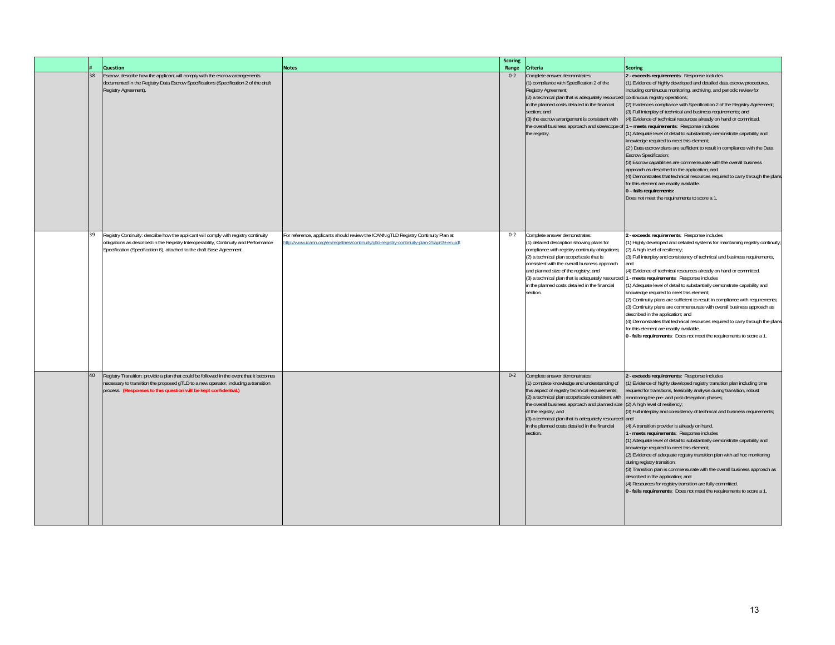|  |    | <b>Question</b>                                                                                                                                                                                                                                         | <b>Notes</b>                                                                                                                                                                      | <b>Scoring</b><br>Range | Criteria                                                                                                                                                                                                                                                                                                                                                                                                                 | <b>Scoring</b>                                                                                                                                                                                                                                                                                                                                                                                                                                                                                                                                                                                                                                                                                                                                                                                                                                                                                                                                                                     |
|--|----|---------------------------------------------------------------------------------------------------------------------------------------------------------------------------------------------------------------------------------------------------------|-----------------------------------------------------------------------------------------------------------------------------------------------------------------------------------|-------------------------|--------------------------------------------------------------------------------------------------------------------------------------------------------------------------------------------------------------------------------------------------------------------------------------------------------------------------------------------------------------------------------------------------------------------------|------------------------------------------------------------------------------------------------------------------------------------------------------------------------------------------------------------------------------------------------------------------------------------------------------------------------------------------------------------------------------------------------------------------------------------------------------------------------------------------------------------------------------------------------------------------------------------------------------------------------------------------------------------------------------------------------------------------------------------------------------------------------------------------------------------------------------------------------------------------------------------------------------------------------------------------------------------------------------------|
|  | 38 | Escrow: describe how the applicant will comply with the escrow arrangements<br>documented in the Registry Data Escrow Specifications (Specification 2 of the draft<br>Registry Agreement).                                                              |                                                                                                                                                                                   | $0 - 2$                 | Complete answer demonstrates:<br>(1) compliance with Specification 2 of the<br>Registry Agreement;<br>(2) a technical plan that is adequately resourced continuous registry operations;<br>in the planned costs detailed in the financial<br>section; and<br>(3) the escrow arrangement is consistent with<br>the overall business approach and size/scope of 1 - meets requirements: Response includes<br>the registry. | 2 - exceeds requirements: Response includes<br>(1) Evidence of highly developed and detailed data escrow procedures,<br>including continuous monitoring, archiving, and periodic review for<br>(2) Evidences compliance with Specification 2 of the Registry Agreement;<br>(3) Full interplay of technical and business requirements; and<br>(4) Evidence of technical resources already on hand or committed.<br>(1) Adequate level of detail to substantially demonstrate capability and<br>knowledge required to meet this element;<br>(2) Data escrow plans are sufficient to result in compliance with the Data<br><b>Escrow Specification;</b><br>(3) Escrow capabilities are commensurate with the overall business<br>approach as described in the application; and<br>(4) Demonstrates that technical resources required to carry through the plans<br>for this element are readily available.<br>0 - fails requirements:<br>Does not meet the requirements to score a 1. |
|  | 39 | Registry Continuity: describe how the applicant will comply with registry continuity<br>obligations as described in the Registry Interoperability, Continuity and Performance<br>Specification (Specification 6), attached to the draft Base Agreement. | For reference, applicants should review the ICANN qTLD Registry Continuity Plan at<br>http://www.icann.org/en/registries/continuity/gtld-registry-continuity-plan-25apr09-en.pdf. | $0 - 2$                 | Complete answer demonstrates:<br>(1) detailed description showing plans for<br>compliance with registry continuity obligations;<br>(2) a technical plan scope/scale that is<br>consistent with the overall business approach<br>and planned size of the registry; and<br>(3) a technical plan that is adequately resourced<br>in the planned costs detailed in the financial<br>section.                                 | 2 - exceeds requirements: Response includes<br>(1) Highly developed and detailed systems for maintaining registry continuity;<br>(2) A high level of resiliency;<br>(3) Full interplay and consistency of technical and business requirements,<br>and<br>(4) Evidence of technical resources already on hand or committed.<br>- meets requirements: Response includes<br>(1) Adequate level of detail to substantially demonstrate capability and<br>knowledge required to meet this element;<br>(2) Continuity plans are sufficient to result in compliance with requirements;<br>(3) Continuity plans are commensurate with overall business approach as<br>described in the application; and<br>(4) Demonstrates that technical resources required to carry through the plans<br>for this element are readily available.<br>0 - fails requirements: Does not meet the requirements to score a 1.                                                                                |
|  | 40 | Registry Transition: provide a plan that could be followed in the event that it becomes<br>necessary to transition the proposed gTLD to a new operator, including a transition<br>process. (Responses to this question will be kept confidential.)      |                                                                                                                                                                                   | $0 - 2$                 | Complete answer demonstrates:<br>(1) complete knowledge and understanding of<br>this aspect of registry technical requirements;<br>(2) a technical plan scope/scale consistent with<br>the overall business approach and planned size<br>of the registry; and<br>(3) a technical plan that is adequately resourced and<br>in the planned costs detailed in the financial<br>section.                                     | - exceeds requirements: Response includes<br>(1) Evidence of highly developed registry transition plan including time<br>required for transitions, feasibility analysis during transition, robust<br>monitoring the pre- and post-delegation phases;<br>(2) A high level of resiliency;<br>(3) Full interplay and consistency of technical and business requirements;<br>(4) A transition provider is already on hand.<br>- meets requirements: Response includes<br>(1) Adequate level of detail to substantially demonstrate capability and<br>knowledge required to meet this element;<br>(2) Evidence of adequate registry transition plan with ad hoc monitoring<br>during registry transition;<br>(3) Transition plan is commensurate with the overall business approach as<br>described in the application; and<br>(4) Resources for registry transition are fully committed.<br>0 - fails requirements: Does not meet the requirements to score a 1.                       |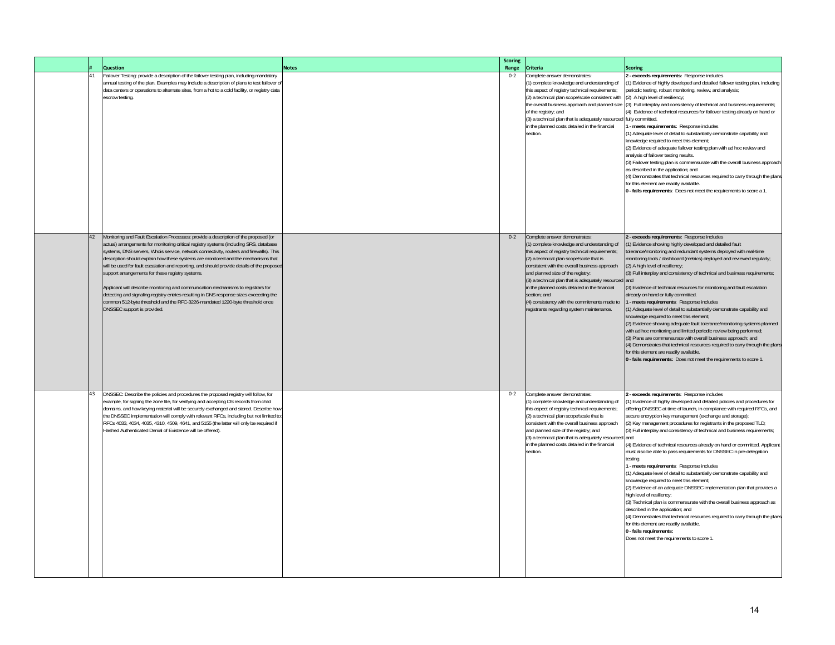|    | <b>Question</b>                                                                                                                                                                                                                                                                                                                                                                                                                                                                                                                                                                                                                                                                                                                                                                                                  | <b>Notes</b> | <b>Scoring</b><br>Range | <b>Criteria</b>                                                                                                                                                                                                                                                                                                                                                                                                                                                                           | <b>Scoring</b>                                                                                                                                                                                                                                                                                                                                                                                                                                                                                                                                                                                                                                                                                                                                                                                                                                                                                                                                                                                                                                                                                                                                                                         |
|----|------------------------------------------------------------------------------------------------------------------------------------------------------------------------------------------------------------------------------------------------------------------------------------------------------------------------------------------------------------------------------------------------------------------------------------------------------------------------------------------------------------------------------------------------------------------------------------------------------------------------------------------------------------------------------------------------------------------------------------------------------------------------------------------------------------------|--------------|-------------------------|-------------------------------------------------------------------------------------------------------------------------------------------------------------------------------------------------------------------------------------------------------------------------------------------------------------------------------------------------------------------------------------------------------------------------------------------------------------------------------------------|----------------------------------------------------------------------------------------------------------------------------------------------------------------------------------------------------------------------------------------------------------------------------------------------------------------------------------------------------------------------------------------------------------------------------------------------------------------------------------------------------------------------------------------------------------------------------------------------------------------------------------------------------------------------------------------------------------------------------------------------------------------------------------------------------------------------------------------------------------------------------------------------------------------------------------------------------------------------------------------------------------------------------------------------------------------------------------------------------------------------------------------------------------------------------------------|
| 41 | ailover Testing: provide a description of the failover testing plan, including mandatory<br>annual testing of the plan. Examples may include a description of plans to test failover o<br>data centers or operations to alternate sites, from a hot to a cold facility, or registry data<br>escrow testing.                                                                                                                                                                                                                                                                                                                                                                                                                                                                                                      |              | $0 - 2$                 | Complete answer demonstrates:<br>(1) complete knowledge and understanding of<br>this aspect of registry technical requirements;<br>(2) a technical plan scope/scale consistent with<br>the overall business approach and planned size<br>of the registry; and<br>(3) a technical plan that is adequately resourced fully committed.<br>in the planned costs detailed in the financial<br>section.                                                                                         | exceeds requirements: Response includes<br>1) Evidence of highly developed and detailed failover testing plan, including<br>eriodic testing, robust monitoring, review, and analysis;<br>(2) A high level of resiliency;<br>(3) Full interplay and consistency of technical and business requirements;<br>4) Evidence of technical resources for failover testing already on hand or<br>1 - meets requirements: Response includes<br>(1) Adequate level of detail to substantially demonstrate capability and<br>knowledge required to meet this element;<br>(2) Evidence of adequate failover testing plan with ad hoc review and<br>analysis of failover testing results.<br>(3) Failover testing plan is commensurate with the overall business approach<br>as described in the application; and<br>(4) Demonstrates that technical resources required to carry through the plans<br>for this element are readily available.<br>0 - fails requirements: Does not meet the requirements to score a 1.                                                                                                                                                                                |
| 42 | Monitoring and Fault Escalation Processes: provide a description of the proposed (or<br>actual) arrangements for monitoring critical registry systems (including SRS, database<br>systems, DNS servers, Whois service, network connectivity, routers and firewalls). This<br>description should explain how these systems are monitored and the mechanisms that<br>will be used for fault escalation and reporting, and should provide details of the proposed<br>support arrangements for these registry systems.<br>Applicant will describe monitoring and communication mechanisms to registrars for<br>detecting and signaling registry entries resulting in DNS response sizes exceeding the<br>common 512-byte threshold and the RFC-3226-mandated 1220-byte threshold once<br>DNSSEC support is provided. |              | $0 - 2$                 | Complete answer demonstrates:<br>(1) complete knowledge and understanding of<br>this aspect of registry technical requirements;<br>(2) a technical plan scope/scale that is<br>consistent with the overall business approach<br>and planned size of the registry;<br>(3) a technical plan that is adequately resourced and<br>in the planned costs detailed in the financial<br>section; and<br>(4) consistency with the commitments made to<br>registrants regarding system maintenance. | 2 - exceeds requirements: Response includes<br>1) Evidence showing highly developed and detailed fault<br>blerance/monitoring and redundant systems deployed with real-time<br>monitoring tools / dashboard (metrics) deployed and reviewed regularly;<br>(2) A high level of resiliency;<br>(3) Full interplay and consistency of technical and business requirements;<br>(3) Evidence of technical resources for monitoring and fault escalation<br>already on hand or fully committed.<br>- meets requirements: Response includes<br>(1) Adequate level of detail to substantially demonstrate capability and<br>knowledge required to meet this element;<br>(2) Evidence showing adequate fault tolerance/monitoring systems planned<br>with ad hoc monitoring and limited periodic review being performed;<br>(3) Plans are commensurate with overall business approach: and<br>(4) Demonstrates that technical resources required to carry through the plans<br>for this element are readily available.<br>0 - fails requirements: Does not meet the requirements to score 1.                                                                                                    |
| 43 | DNSSEC: Describe the policies and procedures the proposed registry will follow, for<br>example, for signing the zone file, for verifying and accepting DS records from child<br>domains, and how keying material will be securely exchanged and stored. Describe how<br>the DNSSEC implementation will comply with relevant RFCs, including but not limited to<br>RFCs 4033, 4034, 4035, 4310, 4509, 4641, and 5155 (the latter will only be required if<br>Hashed Authenticated Denial of Existence will be offered).                                                                                                                                                                                                                                                                                           |              | $0 - 2$                 | Complete answer demonstrates:<br>(1) complete knowledge and understanding of<br>this aspect of registry technical requirements;<br>(2) a technical plan scope/scale that is<br>consistent with the overall business approach<br>and planned size of the registry; and<br>(3) a technical plan that is adequately resourced and<br>in the planned costs detailed in the financial<br>section.                                                                                              | 2 - exceeds requirements: Response includes<br>1) Evidence of highly developed and detailed policies and procedures for<br>offering DNSSEC at time of launch, in compliance with required RFCs, and<br>secure encryption key management (exchange and storage);<br>(2) Key management procedures for registrants in the proposed TLD;<br>(3) Full interplay and consistency of technical and business requirements;<br>(4) Evidence of technical resources already on hand or committed. Applicant<br>must also be able to pass requirements for DNSSEC in pre-delegation<br>testing.<br>1 - meets requirements: Response includes<br>(1) Adequate level of detail to substantially demonstrate capability and<br>knowledge required to meet this element;<br>(2) Evidence of an adequate DNSSEC implementation plan that provides a<br>high level of resiliency;<br>(3) Technical plan is commensurate with the overall business approach as<br>described in the application; and<br>(4) Demonstrates that technical resources required to carry through the plans<br>for this element are readily available.<br>0 - fails requirements:<br>Does not meet the requirements to score 1 |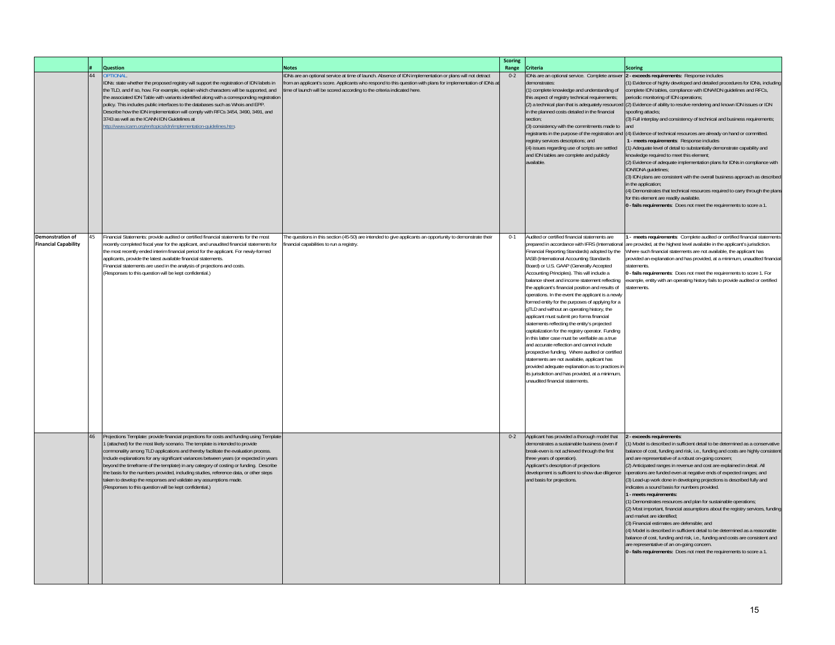|                                                        |    | <b>Question</b>                                                                                                                                                                                                                                                                                                                                                                                                                                                                                                                                                                                                                                                           | <b>Notes</b>                                                                                                                                                                                                                                                                                    | <b>Scoring</b><br>Range | <b>Criteria</b>                                                                                                                                                                                                                                                                                                                                                                                                                                                                                                                                                                                                                                                                                                                                                                                                                                                                                                                                                                                    | <b>Scoring</b>                                                                                                                                                                                                                                                                                                                                                                                                                                                                                                                                                                                                                                                                                                                                                                                                                                                                                                                                                                                                                                                                                                                          |
|--------------------------------------------------------|----|---------------------------------------------------------------------------------------------------------------------------------------------------------------------------------------------------------------------------------------------------------------------------------------------------------------------------------------------------------------------------------------------------------------------------------------------------------------------------------------------------------------------------------------------------------------------------------------------------------------------------------------------------------------------------|-------------------------------------------------------------------------------------------------------------------------------------------------------------------------------------------------------------------------------------------------------------------------------------------------|-------------------------|----------------------------------------------------------------------------------------------------------------------------------------------------------------------------------------------------------------------------------------------------------------------------------------------------------------------------------------------------------------------------------------------------------------------------------------------------------------------------------------------------------------------------------------------------------------------------------------------------------------------------------------------------------------------------------------------------------------------------------------------------------------------------------------------------------------------------------------------------------------------------------------------------------------------------------------------------------------------------------------------------|-----------------------------------------------------------------------------------------------------------------------------------------------------------------------------------------------------------------------------------------------------------------------------------------------------------------------------------------------------------------------------------------------------------------------------------------------------------------------------------------------------------------------------------------------------------------------------------------------------------------------------------------------------------------------------------------------------------------------------------------------------------------------------------------------------------------------------------------------------------------------------------------------------------------------------------------------------------------------------------------------------------------------------------------------------------------------------------------------------------------------------------------|
|                                                        | 44 | <b>IPTIONAL</b><br>DNs: state whether the proposed registry will support the registration of IDN labels in<br>he TLD, and if so, how. For example, explain which characters will be supported, and<br>the associated IDN Table with variants identified along with a corresponding registration<br>policy. This includes public interfaces to the databases such as Whois and EPP.<br>Describe how the IDN implementation will comply with RFCs 3454, 3490, 3491, and<br>3743 as well as the ICANN IDN Guidelines at<br>ttp://www.icann.org/en/topics/idn/implementation-guidelines.htm.                                                                                  | IDNs are an optional service at time of launch. Absence of IDN implementation or plans will not detract<br>rom an applicant's score. Applicants who respond to this question with plans for implementation of IDNs at<br>ime of launch will be scored according to the criteria indicated here. | $0 - 2$                 | IDNs are an optional service. Complete answer<br>demonstrates:<br>(1) complete knowledge and understanding of<br>this aspect of registry technical requirements;<br>in the planned costs detailed in the financial<br>section:<br>(3) consistency with the commitments made to<br>registrants in the purpose of the registration and<br>registry services descriptions; and<br>(4) issues regarding use of scripts are settled<br>and IDN tables are complete and publicly<br>available.                                                                                                                                                                                                                                                                                                                                                                                                                                                                                                           | 2 - exceeds requirements: Response includes<br>1) Evidence of highly developed and detailed procedures for IDNs, including<br>complete IDN tables, compliance with IDNA/IDN guidelines and RFCs,<br>periodic monitoring of IDN operations;<br>(2) a technical plan that is adequately resourced (2) Evidence of ability to resolve rendering and known IDN issues or IDN<br>spoofing attacks;<br>3) Full interplay and consistency of technical and business requirements;<br>(4) Evidence of technical resources are already on hand or committed.<br>1 - meets requirements: Response includes<br>1) Adequate level of detail to substantially demonstrate capability and<br>knowledge required to meet this element;<br>(2) Evidence of adequate implementation plans for IDNs in compliance with<br>IDN/IDNA quidelines;<br>(3) IDN plans are consistent with the overall business approach as described<br>in the application:<br>(4) Demonstrates that technical resources required to carry through the plans<br>for this element are readily available.<br>0 - fails requirements: Does not meet the requirements to score a 1. |
| <b>Demonstration of</b><br><b>Financial Capability</b> | 45 | inancial Statements: provide audited or certified financial statements for the most<br>ecently completed fiscal year for the applicant, and unaudited financial statements for<br>he most recently ended interim financial period for the applicant. For newly-formed<br>applicants, provide the latest available financial statements.<br>Financial statements are used in the analysis of projections and costs.<br>(Responses to this question will be kept confidential.)                                                                                                                                                                                             | The questions in this section (45-50) are intended to give applicants an opportunity to demonstrate their<br>financial capabilities to run a registry.                                                                                                                                          | $0 - 1$                 | Audited or certified financial statements are<br>Financial Reporting Standards) adopted by the<br>IASB (International Accounting Standards<br>Board) or U.S. GAAP (Generally Accepted<br>Accounting Principles). This will include a<br>balance sheet and income statement reflecting<br>the applicant's financial position and results of<br>operations. In the event the applicant is a newly<br>formed entity for the purposes of applying for a<br>gTLD and without an operating history, the<br>applicant must submit pro forma financial<br>statements reflecting the entity's projected<br>capitalization for the registry operator. Funding<br>in this latter case must be verifiable as a true<br>and accurate reflection and cannot include<br>prospective funding. Where audited or certified<br>statements are not available, applicant has<br>provided adequate explanation as to practices in<br>its jurisdiction and has provided, at a minimum,<br>unaudited financial statements. | - meets requirements: Complete audited or certified financial statements<br>prepared in accordance with IFRS (International are provided, at the highest level available in the applicant's jurisdiction.<br>Where such financial statements are not available, the applicant has<br>provided an explanation and has provided, at a minimum, unaudited financial<br>tatements<br>1- fails requirements: Does not meet the requirements to score 1. For<br>example, entity with an operating history fails to provide audited or certified                                                                                                                                                                                                                                                                                                                                                                                                                                                                                                                                                                                               |
|                                                        | 46 | Projections Template: provide financial projections for costs and funding using Template<br>(attached) for the most likely scenario. The template is intended to provide<br>commonality among TLD applications and thereby facilitate the evaluation process.<br>Include explanations for any significant variances between years (or expected in years<br>beyond the timeframe of the template) in any category of costing or funding. Describe<br>the basis for the numbers provided, including studies, reference data, or other steps<br>taken to develop the responses and validate any assumptions made.<br>(Responses to this question will be kept confidential.) |                                                                                                                                                                                                                                                                                                 | $0 - 2$                 | Applicant has provided a thorough model that<br>demonstrates a sustainable business (even if<br>break-even is not achieved through the first<br>three years of operation).<br>Applicant's description of projections<br>development is sufficient to show due diligence<br>and basis for projections.                                                                                                                                                                                                                                                                                                                                                                                                                                                                                                                                                                                                                                                                                              | 2 - exceeds requirements:<br>1) Model is described in sufficient detail to be determined as a conservative<br>balance of cost, funding and risk, i.e., funding and costs are highly consistent<br>and are representative of a robust on-going concern;<br>(2) Anticipated ranges in revenue and cost are explained in detail. All<br>operations are funded even at negative ends of expected ranges; and<br>(3) Lead-up work done in developing projections is described fully and<br>indicates a sound basis for numbers provided.<br>1 - meets requirements:<br>(1) Demonstrates resources and plan for sustainable operations;<br>(2) Most important, financial assumptions about the registry services, funding<br>and market are identified<br>(3) Financial estimates are defensible; and<br>(4) Model is described in sufficient detail to be determined as a reasonable<br>balance of cost, funding and risk, i.e., funding and costs are consistent and<br>are representative of an on-going concern.<br>0 - fails requirements: Does not meet the requirements to score a 1.                                                  |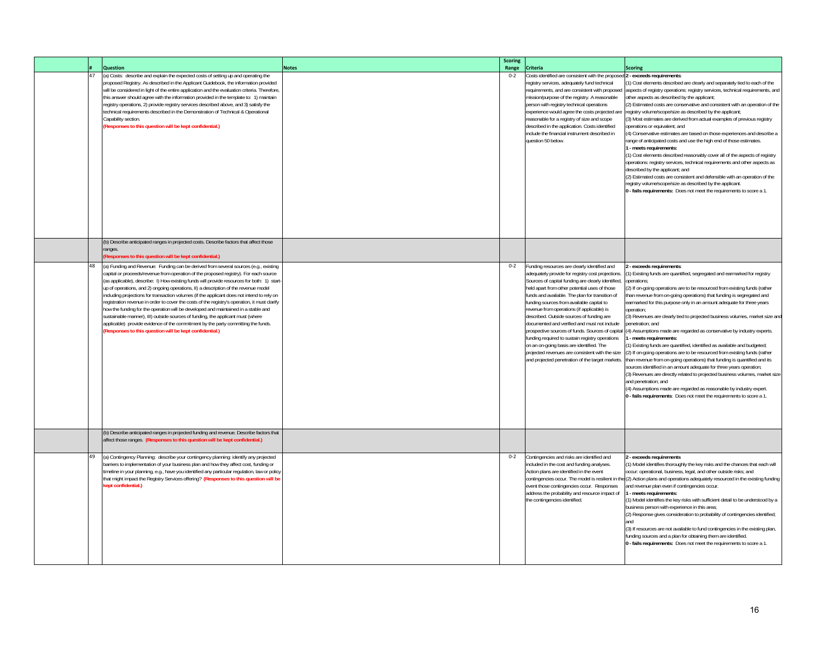|    | <b>Question</b>                                                                                                                                                                                                                                                                                                                                                                                                                                                                                                                                                                                                                                                                                                                                                                                                                                                                           | <b>Notes</b> | <b>Scoring</b><br>Range | <b>Criteria</b>                                                                                                                                                                                                                                                                                                                                                                                                                                                                                                                                                                                                                                                                                               | <b>Scoring</b>                                                                                                                                                                                                                                                                                                                                                                                                                                                                                                                                                                                                                                                                                                                                                                                                                                                                                                                                                                                                                                                                                                                             |
|----|-------------------------------------------------------------------------------------------------------------------------------------------------------------------------------------------------------------------------------------------------------------------------------------------------------------------------------------------------------------------------------------------------------------------------------------------------------------------------------------------------------------------------------------------------------------------------------------------------------------------------------------------------------------------------------------------------------------------------------------------------------------------------------------------------------------------------------------------------------------------------------------------|--------------|-------------------------|---------------------------------------------------------------------------------------------------------------------------------------------------------------------------------------------------------------------------------------------------------------------------------------------------------------------------------------------------------------------------------------------------------------------------------------------------------------------------------------------------------------------------------------------------------------------------------------------------------------------------------------------------------------------------------------------------------------|--------------------------------------------------------------------------------------------------------------------------------------------------------------------------------------------------------------------------------------------------------------------------------------------------------------------------------------------------------------------------------------------------------------------------------------------------------------------------------------------------------------------------------------------------------------------------------------------------------------------------------------------------------------------------------------------------------------------------------------------------------------------------------------------------------------------------------------------------------------------------------------------------------------------------------------------------------------------------------------------------------------------------------------------------------------------------------------------------------------------------------------------|
| 47 | (a) Costs: describe and explain the expected costs of setting up and operating the<br>proposed Registry. As described in the Applicant Guidebook, the information provided<br>will be considered in light of the entire application and the evaluation criteria. Therefore,<br>this answer should agree with the information provided in the template to: 1) maintain<br>registry operations, 2) provide registry services described above, and 3) satisfy the<br>technical requirements described in the Demonstration of Technical & Operational<br>Capability section.<br>(Responses to this question will be kept confidential.)                                                                                                                                                                                                                                                      |              | $0 - 2$                 | Costs identified are consistent with the propose<br>registry services, adequately fund technical<br>requirements, and are consistent with proposed<br>mission/purpose of the registry. A reasonable<br>person with registry technical operations<br>experience would agree the costs projected are<br>reasonable for a registry of size and scope<br>described in the application. Costs identified<br>include the financial instrument described in<br>question 50 below.                                                                                                                                                                                                                                    | - exceeds requirements:<br>1) Cost elements described are clearly and separately tied to each of the<br>aspects of registry operations: registry services, technical requirements, and<br>other aspects as described by the applicant;<br>(2) Estimated costs are conservative and consistent with an operation of the<br>registry volume/scope/size as described by the applicant;<br>(3) Most estimates are derived from actual examples of previous registry<br>operations or equivalent; and<br>4) Conservative estimates are based on those experiences and describe a<br>range of anticipated costs and use the high end of those estimates.<br>- meets requirements:<br>(1) Cost elements described reasonably cover all of the aspects of registry<br>operations: registry services, technical requirements and other aspects as<br>described by the applicant; and<br>(2) Estimated costs are consistent and defensible with an operation of the<br>registry volume/scope/size as described by the applicant.<br>0 - fails requirements: Does not meet the requirements to score a 1.                                             |
|    | (b) Describe anticipated ranges in projected costs. Describe factors that affect those<br>ranges.<br>Responses to this question will be kept confidential.)                                                                                                                                                                                                                                                                                                                                                                                                                                                                                                                                                                                                                                                                                                                               |              |                         |                                                                                                                                                                                                                                                                                                                                                                                                                                                                                                                                                                                                                                                                                                               |                                                                                                                                                                                                                                                                                                                                                                                                                                                                                                                                                                                                                                                                                                                                                                                                                                                                                                                                                                                                                                                                                                                                            |
| 48 | (a) Funding and Revenue: Funding can be derived from several sources (e.g., existing<br>capital or proceeds/revenue from operation of the proposed registry). For each source<br>(as applicable), describe: I) How existing funds will provide resources for both: 1) start<br>up of operations, and 2) ongoing operations, II) a description of the revenue model<br>including projections for transaction volumes (if the applicant does not intend to rely on<br>registration revenue in order to cover the costs of the registry's operation, it must clarify<br>how the funding for the operation will be developed and maintained in a stable and<br>sustainable manner), III) outside sources of funding, the applicant must (where<br>applicable) provide evidence of the commitment by the party committing the funds.<br>Responses to this question will be kept confidential.) |              | $0 - 2$                 | Funding resources are clearly identified and<br>adequately provide for registry cost projections.<br>Sources of capital funding are clearly identified,<br>held apart from other potential uses of those<br>funds and available. The plan for transition of<br>funding sources from available capital to<br>revenue from operations (if applicable) is<br>described. Outside sources of funding are<br>documented and verified and must not include<br>prospective sources of funds. Sources of capital<br>funding required to sustain registry operations<br>on an on-going basis are identified. The<br>projected revenues are consistent with the size<br>and projected penetration of the target markets. | - exceeds requirements:<br>1) Existing funds are quantified, segregated and earmarked for registry<br>pperations:<br>(2) If on-going operations are to be resourced from existing funds (rather<br>than revenue from on-going operations) that funding is segregated and<br>earmarked for this purpose only in an amount adequate for three years<br>operation;<br>(3) Revenues are clearly tied to projected business volumes, market size and<br>benetration: and<br>(4) Assumptions made are regarded as conservative by industry experts.<br>- meets requirements:<br>1) Existing funds are quantified, identified as available and budgeted;<br>(2) If on-going operations are to be resourced from existing funds (rather<br>than revenue from on-going operations) that funding is quantified and its<br>sources identified in an amount adequate for three years operation;<br>(3) Revenues are directly related to projected business volumes, market size<br>and penetration; and<br>(4) Assumptions made are regarded as reasonable by industry expert.<br>1 - fails requirements: Does not meet the requirements to score a 1. |
|    | (b) Describe anticipated ranges in projected funding and revenue. Describe factors that<br>affect those ranges. (Responses to this question will be kept confidential.)                                                                                                                                                                                                                                                                                                                                                                                                                                                                                                                                                                                                                                                                                                                   |              |                         |                                                                                                                                                                                                                                                                                                                                                                                                                                                                                                                                                                                                                                                                                                               |                                                                                                                                                                                                                                                                                                                                                                                                                                                                                                                                                                                                                                                                                                                                                                                                                                                                                                                                                                                                                                                                                                                                            |
| 49 | (a) Contingency Planning: describe your contingency planning: identify any projected<br>barriers to implementation of your business plan and how they affect cost, funding or<br>timeline in your planning, e.g., have you identified any particular regulation, law or policy<br>that might impact the Registry Services offering? (Responses to this question will be<br>(ept confidential.)                                                                                                                                                                                                                                                                                                                                                                                                                                                                                            |              | $0 - 2$                 | Contingencies and risks are identified and<br>included in the cost and funding analyses.<br>Action plans are identified in the event<br>contingencies occur. The model is resilient in the<br>event those contingencies occur. Responses<br>address the probability and resource impact of<br>the contingencies identified.                                                                                                                                                                                                                                                                                                                                                                                   | exceeds requirements<br>1) Model identifies thoroughly the key risks and the chances that each will<br>occur: operational, business, legal, and other outside risks; and<br>(2) Action plans and operations adequately resourced in the existing funding<br>and revenue plan even if contingencies occur.<br>1 - meets requirements:<br>(1) Model identifies the key risks with sufficient detail to be understood by a<br>business person with experience in this area;<br>(2) Response gives consideration to probability of contingencies identified;<br>(3) If resources are not available to fund contingencies in the existing plan,<br>funding sources and a plan for obtaining them are identified.<br>0 - fails requirements: Does not meet the requirements to score a 1.                                                                                                                                                                                                                                                                                                                                                        |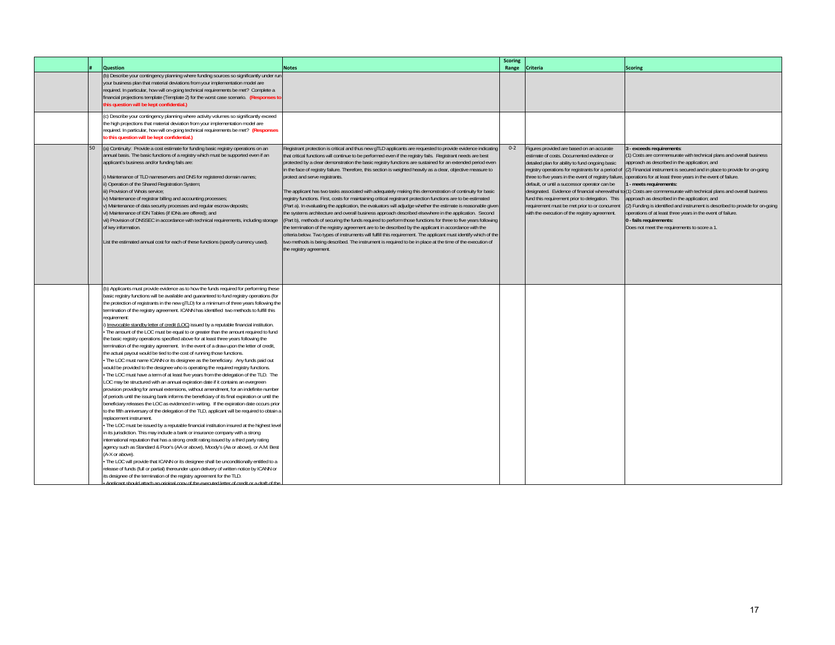|    |                                                                                                                                                                                                                                                                                                                                                                                                                                                                                                                                                                                                                                                                                                                                                                                                                                                                                                                                                                                                                                                                                                                                                                                                                                                                                                                                                                                                                                                                                                                                                                                                                                                                                                                                                                                                                                                                                                                                                                                                                                                                                                                                                                                                                                                                                                                                                                          |                                                                                                                                                                                                                                                                                                                                                                                                                                                                                                                                                                                                                                                                                                                                                                                                                                                                                                                                                                                                                                                                                                                                                                                                                                                                                                                                                                                                                                         | <b>Scoring</b> |                                                                                                                                                                                                                                                                                                                                                                                                                                                                                                                     |                                                                                                                                                                                                                                                                                                                                                                                                                                                                                                                                                                                                                                                                     |
|----|--------------------------------------------------------------------------------------------------------------------------------------------------------------------------------------------------------------------------------------------------------------------------------------------------------------------------------------------------------------------------------------------------------------------------------------------------------------------------------------------------------------------------------------------------------------------------------------------------------------------------------------------------------------------------------------------------------------------------------------------------------------------------------------------------------------------------------------------------------------------------------------------------------------------------------------------------------------------------------------------------------------------------------------------------------------------------------------------------------------------------------------------------------------------------------------------------------------------------------------------------------------------------------------------------------------------------------------------------------------------------------------------------------------------------------------------------------------------------------------------------------------------------------------------------------------------------------------------------------------------------------------------------------------------------------------------------------------------------------------------------------------------------------------------------------------------------------------------------------------------------------------------------------------------------------------------------------------------------------------------------------------------------------------------------------------------------------------------------------------------------------------------------------------------------------------------------------------------------------------------------------------------------------------------------------------------------------------------------------------------------|-----------------------------------------------------------------------------------------------------------------------------------------------------------------------------------------------------------------------------------------------------------------------------------------------------------------------------------------------------------------------------------------------------------------------------------------------------------------------------------------------------------------------------------------------------------------------------------------------------------------------------------------------------------------------------------------------------------------------------------------------------------------------------------------------------------------------------------------------------------------------------------------------------------------------------------------------------------------------------------------------------------------------------------------------------------------------------------------------------------------------------------------------------------------------------------------------------------------------------------------------------------------------------------------------------------------------------------------------------------------------------------------------------------------------------------------|----------------|---------------------------------------------------------------------------------------------------------------------------------------------------------------------------------------------------------------------------------------------------------------------------------------------------------------------------------------------------------------------------------------------------------------------------------------------------------------------------------------------------------------------|---------------------------------------------------------------------------------------------------------------------------------------------------------------------------------------------------------------------------------------------------------------------------------------------------------------------------------------------------------------------------------------------------------------------------------------------------------------------------------------------------------------------------------------------------------------------------------------------------------------------------------------------------------------------|
|    | Question<br>(b) Describe your contingency planning where funding sources so significantly under rur<br>your business plan that material deviations from your implementation model are<br>required. In particular, how will on-going technical requirements be met? Complete a<br>financial projections template (Template 2) for the worst case scenario. (Responses to<br>his question will be kept confidential.)                                                                                                                                                                                                                                                                                                                                                                                                                                                                                                                                                                                                                                                                                                                                                                                                                                                                                                                                                                                                                                                                                                                                                                                                                                                                                                                                                                                                                                                                                                                                                                                                                                                                                                                                                                                                                                                                                                                                                      | <b>Notes</b>                                                                                                                                                                                                                                                                                                                                                                                                                                                                                                                                                                                                                                                                                                                                                                                                                                                                                                                                                                                                                                                                                                                                                                                                                                                                                                                                                                                                                            | Range          | <b>Criteria</b>                                                                                                                                                                                                                                                                                                                                                                                                                                                                                                     | <b>Scoring</b>                                                                                                                                                                                                                                                                                                                                                                                                                                                                                                                                                                                                                                                      |
|    | (c) Describe your contingency planning where activity volumes so significantly exceed<br>the high projections that material deviation from your implementation model are<br>required. In particular, how will on-going technical requirements be met? (Responses<br>o this question will be kept confidential.)                                                                                                                                                                                                                                                                                                                                                                                                                                                                                                                                                                                                                                                                                                                                                                                                                                                                                                                                                                                                                                                                                                                                                                                                                                                                                                                                                                                                                                                                                                                                                                                                                                                                                                                                                                                                                                                                                                                                                                                                                                                          |                                                                                                                                                                                                                                                                                                                                                                                                                                                                                                                                                                                                                                                                                                                                                                                                                                                                                                                                                                                                                                                                                                                                                                                                                                                                                                                                                                                                                                         |                |                                                                                                                                                                                                                                                                                                                                                                                                                                                                                                                     |                                                                                                                                                                                                                                                                                                                                                                                                                                                                                                                                                                                                                                                                     |
| 50 | (a) Continuity: Provide a cost estimate for funding basic registry operations on an<br>annual basis. The basic functions of a registry which must be supported even if an<br>applicant's business and/or funding fails are:<br>i) Maintenance of TLD nameservers and DNS for registered domain names;<br>ii) Operation of the Shared Registration System;<br>iii) Provision of Whois service:<br>iv) Maintenance of registrar billing and accounting processes;<br>v) Maintenance of data security processes and regular escrow deposits;<br>vi) Maintenance of IDN Tables (if IDNs are offered); and<br>vii) Provision of DNSSEC in accordance with technical requirements, including storage<br>of key information.<br>List the estimated annual cost for each of these functions (specify currency used).                                                                                                                                                                                                                                                                                                                                                                                                                                                                                                                                                                                                                                                                                                                                                                                                                                                                                                                                                                                                                                                                                                                                                                                                                                                                                                                                                                                                                                                                                                                                                             | Registrant protection is critical and thus new gTLD applicants are requested to provide evidence indicating<br>that critical functions will continue to be performed even if the registry fails. Registrant needs are best<br>protected by a clear demonstration the basic registry functions are sustained for an extended period even<br>in the face of registry failure. Therefore, this section is weighted heavily as a clear, objective measure to<br>protect and serve registrants.<br>The applicant has two tasks associated with adequately making this demonstration of continuity for basic<br>registry functions. First, costs for maintaining critical registrant protection functions are to be estimated<br>(Part a). In evaluating the application, the evaluators will adjudge whether the estimate is reasonable given<br>the systems architecture and overall business approach described elsewhere in the application. Second<br>(Part b), methods of securing the funds required to perform those functions for three to five years following<br>the termination of the registry agreement are to be described by the applicant in accordance with the<br>criteria below. Two types of instruments will fulfill this requirement. The applicant must identify which of the<br>two methods is being described. The instrument is required to be in place at the time of the execution of<br>the registry agreement. | $0 - 2$        | Figures provided are based on an accurate<br>estimate of costs. Documented evidence or<br>detailed plan for ability to fund ongoing basic<br>registry operations for registrants for a period of<br>three to five years in the event of registry failure<br>default, or until a successor operator can be<br>designated. Evidence of financial wherewithal to<br>fund this requirement prior to delegation. This<br>requirement must be met prior to or concurrent<br>with the execution of the registry agreement. | - exceeds requirements:<br>1) Costs are commensurate with technical plans and overall business<br>approach as described in the application; and<br>2) Financial instrument is secured and in place to provide for on-going<br>operations for at least three years in the event of failure.<br>- meets requirements:<br>1) Costs are commensurate with technical plans and overall business<br>pproach as described in the application; and<br>2) Funding is identified and instrument is described to provide for on-going<br>perations of at least three years in the event of failure.<br>0 - fails requirements:<br>Does not meet the requirements to score a 1. |
|    | (b) Applicants must provide evidence as to how the funds required for performing these<br>basic registry functions will be available and guaranteed to fund registry operations (for<br>the protection of registrants in the new gTLD) for a minimum of three years following the<br>termination of the registry agreement. ICANN has identified two methods to fulfill this<br>requirement:<br>Irrevocable standby letter of credit (LOC) issued by a reputable financial institution.<br>The amount of the LOC must be equal to or greater than the amount required to fund<br>the basic registry operations specified above for at least three years following the<br>termination of the registry agreement. In the event of a draw upon the letter of credit,<br>the actual payout would be tied to the cost of running those functions.<br>The LOC must name ICANN or its designee as the beneficiary. Any funds paid out<br>would be provided to the designee who is operating the required registry functions.<br>The LOC must have a term of at least five years from the delegation of the TLD. The<br>LOC may be structured with an annual expiration date if it contains an evergreen<br>provision providing for annual extensions, without amendment, for an indefinite number<br>of periods until the issuing bank informs the beneficiary of its final expiration or until the<br>beneficiary releases the LOC as evidenced in writing. If the expiration date occurs prior<br>to the fifth anniversary of the delegation of the TLD, applicant will be required to obtain a<br>replacement instrument.<br>The LOC must be issued by a reputable financial institution insured at the highest leve<br>in its jurisdiction. This may include a bank or insurance company with a strong<br>international reputation that has a strong credit rating issued by a third party rating<br>agency such as Standard & Poor's (AA or above), Moody's (Aa or above), or A.M. Best<br>(A-X or above).<br>The LOC will provide that ICANN or its designee shall be unconditionally entitled to a<br>release of funds (full or partial) thereunder upon delivery of written notice by ICANN or<br>its designee of the termination of the registry agreement for the TLD.<br>Annlicant should attach an original copy of the executed letter of credit or a draft of the |                                                                                                                                                                                                                                                                                                                                                                                                                                                                                                                                                                                                                                                                                                                                                                                                                                                                                                                                                                                                                                                                                                                                                                                                                                                                                                                                                                                                                                         |                |                                                                                                                                                                                                                                                                                                                                                                                                                                                                                                                     |                                                                                                                                                                                                                                                                                                                                                                                                                                                                                                                                                                                                                                                                     |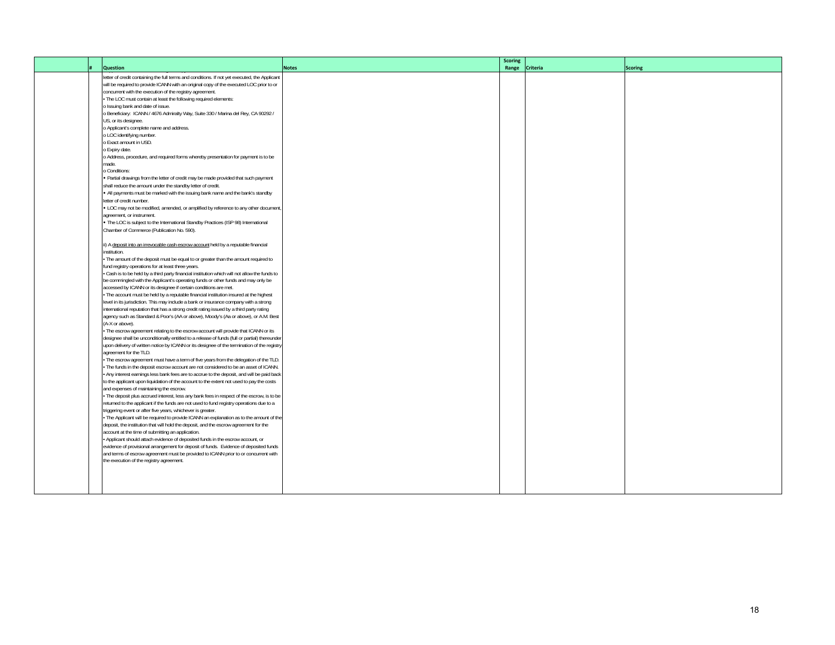|  |                                                                                                                                                                                        |              | <b>Scoring</b> |                 |                |
|--|----------------------------------------------------------------------------------------------------------------------------------------------------------------------------------------|--------------|----------------|-----------------|----------------|
|  | <b>Question</b>                                                                                                                                                                        | <b>Notes</b> | Range          | <b>Criteria</b> | <b>Scoring</b> |
|  | letter of credit containing the full terms and conditions. If not yet executed, the Applicant                                                                                          |              |                |                 |                |
|  | will be required to provide ICANN with an original copy of the executed LOC prior to or                                                                                                |              |                |                 |                |
|  | concurrent with the execution of the registry agreement.                                                                                                                               |              |                |                 |                |
|  | - The LOC must contain at least the following required elements:                                                                                                                       |              |                |                 |                |
|  | o Issuing bank and date of issue.                                                                                                                                                      |              |                |                 |                |
|  | o Beneficiary: ICANN / 4676 Admiralty Way, Suite 330 / Marina del Rey, CA 90292 /                                                                                                      |              |                |                 |                |
|  | US, or its designee.                                                                                                                                                                   |              |                |                 |                |
|  | o Applicant's complete name and address.                                                                                                                                               |              |                |                 |                |
|  | o LOC identifying number.                                                                                                                                                              |              |                |                 |                |
|  | o Exact amount in USD.                                                                                                                                                                 |              |                |                 |                |
|  | o Expiry date.                                                                                                                                                                         |              |                |                 |                |
|  | o Address, procedure, and required forms whereby presentation for payment is to be                                                                                                     |              |                |                 |                |
|  | made.                                                                                                                                                                                  |              |                |                 |                |
|  | o Conditions:                                                                                                                                                                          |              |                |                 |                |
|  | . Partial drawings from the letter of credit may be made provided that such payment                                                                                                    |              |                |                 |                |
|  | shall reduce the amount under the standby letter of credit.                                                                                                                            |              |                |                 |                |
|  | . All payments must be marked with the issuing bank name and the bank's standby                                                                                                        |              |                |                 |                |
|  | letter of credit number.                                                                                                                                                               |              |                |                 |                |
|  | . LOC may not be modified, amended, or amplified by reference to any other document,                                                                                                   |              |                |                 |                |
|  | agreement, or instrument.                                                                                                                                                              |              |                |                 |                |
|  | . The LOC is subject to the International Standby Practices (ISP 98) International                                                                                                     |              |                |                 |                |
|  | Chamber of Commerce (Publication No. 590).                                                                                                                                             |              |                |                 |                |
|  |                                                                                                                                                                                        |              |                |                 |                |
|  | ii) A deposit into an irrevocable cash escrow account held by a reputable financial                                                                                                    |              |                |                 |                |
|  | institution.                                                                                                                                                                           |              |                |                 |                |
|  | The amount of the deposit must be equal to or greater than the amount required to                                                                                                      |              |                |                 |                |
|  | fund registry operations for at least three years.                                                                                                                                     |              |                |                 |                |
|  | Cash is to be held by a third party financial institution which will not allow the funds to                                                                                            |              |                |                 |                |
|  | be commingled with the Applicant's operating funds or other funds and may only be                                                                                                      |              |                |                 |                |
|  | accessed by ICANN or its designee if certain conditions are met.                                                                                                                       |              |                |                 |                |
|  | The account must be held by a reputable financial institution insured at the highest                                                                                                   |              |                |                 |                |
|  | level in its jurisdiction. This may include a bank or insurance company with a strong                                                                                                  |              |                |                 |                |
|  | international reputation that has a strong credit rating issued by a third party rating                                                                                                |              |                |                 |                |
|  | agency such as Standard & Poor's (AA or above), Moody's (Aa or above), or A.M. Best                                                                                                    |              |                |                 |                |
|  | (A-X or above).                                                                                                                                                                        |              |                |                 |                |
|  | . The escrow agreement relating to the escrow account will provide that ICANN or its                                                                                                   |              |                |                 |                |
|  | designee shall be unconditionally entitled to a release of funds (full or partial) thereunder                                                                                          |              |                |                 |                |
|  | upon delivery of written notice by ICANN or its designee of the termination of the registry                                                                                            |              |                |                 |                |
|  | agreement for the TLD.                                                                                                                                                                 |              |                |                 |                |
|  | The escrow agreement must have a term of five years from the delegation of the TLD.                                                                                                    |              |                |                 |                |
|  | The funds in the deposit escrow account are not considered to be an asset of ICANN.                                                                                                    |              |                |                 |                |
|  | Any interest earnings less bank fees are to accrue to the deposit, and will be paid back                                                                                               |              |                |                 |                |
|  | to the applicant upon liquidation of the account to the extent not used to pay the costs                                                                                               |              |                |                 |                |
|  | and expenses of maintaining the escrow.                                                                                                                                                |              |                |                 |                |
|  | · The deposit plus accrued interest, less any bank fees in respect of the escrow, is to be<br>returned to the applicant if the funds are not used to fund registry operations due to a |              |                |                 |                |
|  |                                                                                                                                                                                        |              |                |                 |                |
|  | triggering event or after five years, whichever is greater.                                                                                                                            |              |                |                 |                |
|  | The Applicant will be required to provide ICANN an explanation as to the amount of the<br>deposit, the institution that will hold the deposit, and the escrow agreement for the        |              |                |                 |                |
|  | account at the time of submitting an application.                                                                                                                                      |              |                |                 |                |
|  | Applicant should attach evidence of deposited funds in the escrow account, or                                                                                                          |              |                |                 |                |
|  | evidence of provisional arrangement for deposit of funds. Evidence of deposited funds                                                                                                  |              |                |                 |                |
|  | and terms of escrow agreement must be provided to ICANN prior to or concurrent with                                                                                                    |              |                |                 |                |
|  | the execution of the registry agreement.                                                                                                                                               |              |                |                 |                |
|  |                                                                                                                                                                                        |              |                |                 |                |
|  |                                                                                                                                                                                        |              |                |                 |                |
|  |                                                                                                                                                                                        |              |                |                 |                |
|  |                                                                                                                                                                                        |              |                |                 |                |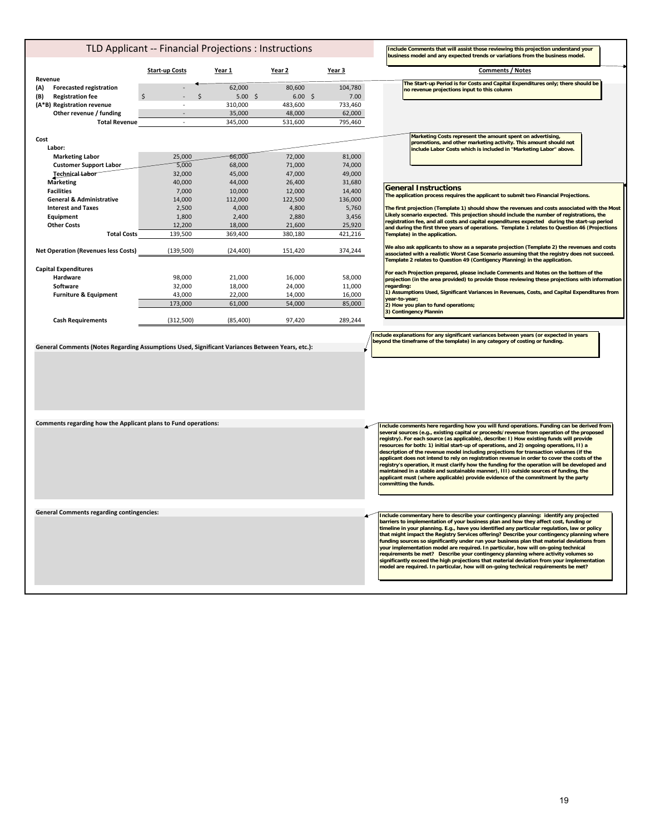| TLD Applicant -- Financial Projections : Instructions                                           |                       |                   |                   |                   | Include Comments that will assist those reviewing this projection understand your<br>business model and any expected trends or variations from the business model.                                                                                                                                                                                                                                                                                                                                                                                                                                                                                                                                                                                                                                                                                                              |
|-------------------------------------------------------------------------------------------------|-----------------------|-------------------|-------------------|-------------------|---------------------------------------------------------------------------------------------------------------------------------------------------------------------------------------------------------------------------------------------------------------------------------------------------------------------------------------------------------------------------------------------------------------------------------------------------------------------------------------------------------------------------------------------------------------------------------------------------------------------------------------------------------------------------------------------------------------------------------------------------------------------------------------------------------------------------------------------------------------------------------|
|                                                                                                 | <b>Start-up Costs</b> | Year 1            | Year 2            | Year 3            | <b>Comments / Notes</b>                                                                                                                                                                                                                                                                                                                                                                                                                                                                                                                                                                                                                                                                                                                                                                                                                                                         |
| Revenue<br>(A)<br><b>Forecasted registration</b><br><b>Registration fee</b><br>(B)              |                       | 62,000<br>5.00%   | 80,600<br>6.00%   | 104,780<br>7.00   | The Start-up Period is for Costs and Capital Expenditures only; there should be<br>no revenue projections input to this column                                                                                                                                                                                                                                                                                                                                                                                                                                                                                                                                                                                                                                                                                                                                                  |
| (A*B) Registration revenue                                                                      |                       | 310,000           | 483,600           | 733,460           |                                                                                                                                                                                                                                                                                                                                                                                                                                                                                                                                                                                                                                                                                                                                                                                                                                                                                 |
| Other revenue / funding<br><b>Total Revenue</b>                                                 | $\omega$              | 35,000<br>345,000 | 48,000<br>531,600 | 62,000<br>795,460 |                                                                                                                                                                                                                                                                                                                                                                                                                                                                                                                                                                                                                                                                                                                                                                                                                                                                                 |
|                                                                                                 |                       |                   |                   |                   |                                                                                                                                                                                                                                                                                                                                                                                                                                                                                                                                                                                                                                                                                                                                                                                                                                                                                 |
| Cost<br>Labor:                                                                                  |                       |                   |                   |                   | Marketing Costs represent the amount spent on advertising,<br>promotions, and other marketing activity. This amount should not<br>include Labor Costs which is included in "Marketing Labor" above.                                                                                                                                                                                                                                                                                                                                                                                                                                                                                                                                                                                                                                                                             |
| <b>Marketing Labor</b>                                                                          | 25.000                | 66,000            | 72.000            | 81.000            |                                                                                                                                                                                                                                                                                                                                                                                                                                                                                                                                                                                                                                                                                                                                                                                                                                                                                 |
| <b>Customer Support Labor</b>                                                                   | 5,000                 | 68,000            | 71,000            | 74,000            |                                                                                                                                                                                                                                                                                                                                                                                                                                                                                                                                                                                                                                                                                                                                                                                                                                                                                 |
| Technical Labor<br><b>Marketing</b>                                                             | 32,000<br>40,000      | 45,000<br>44,000  | 47,000<br>26,400  | 49,000<br>31,680  |                                                                                                                                                                                                                                                                                                                                                                                                                                                                                                                                                                                                                                                                                                                                                                                                                                                                                 |
| <b>Facilities</b>                                                                               | 7,000                 | 10,000            | 12,000            | 14,400            | <b>General Instructions</b>                                                                                                                                                                                                                                                                                                                                                                                                                                                                                                                                                                                                                                                                                                                                                                                                                                                     |
| <b>General &amp; Administrative</b>                                                             | 14,000                | 112,000           | 122,500           | 136,000           | The application process requires the applicant to submit two Financial Projections.                                                                                                                                                                                                                                                                                                                                                                                                                                                                                                                                                                                                                                                                                                                                                                                             |
| <b>Interest and Taxes</b>                                                                       | 2,500                 | 4,000             | 4,800             | 5,760             | The first projection (Template 1) should show the revenues and costs associated with the Most                                                                                                                                                                                                                                                                                                                                                                                                                                                                                                                                                                                                                                                                                                                                                                                   |
| Equipment                                                                                       | 1,800                 | 2,400             | 2,880             | 3,456             | Likely scenario expected. This projection should include the number of registrations, the                                                                                                                                                                                                                                                                                                                                                                                                                                                                                                                                                                                                                                                                                                                                                                                       |
| <b>Other Costs</b>                                                                              | 12,200                | 18,000            | 21,600            | 25,920            | registration fee, and all costs and capital expenditures expected during the start-up period<br>and during the first three years of operations. Template 1 relates to Question 46 (Projections                                                                                                                                                                                                                                                                                                                                                                                                                                                                                                                                                                                                                                                                                  |
| <b>Total Costs</b>                                                                              | 139,500               | 369,400           | 380,180           | 421,216           | Template) in the application.                                                                                                                                                                                                                                                                                                                                                                                                                                                                                                                                                                                                                                                                                                                                                                                                                                                   |
| <b>Net Operation (Revenues less Costs)</b>                                                      | (139, 500)            | (24, 400)         | 151,420           | 374,244           | We also ask applicants to show as a separate projection (Template 2) the revenues and costs<br>associated with a realistic Worst Case Scenario assuming that the registry does not succeed.<br>Template 2 relates to Question 49 (Contigency Planning) in the application.                                                                                                                                                                                                                                                                                                                                                                                                                                                                                                                                                                                                      |
| <b>Capital Expenditures</b>                                                                     |                       |                   |                   |                   | For each Projection prepared, please include Comments and Notes on the bottom of the                                                                                                                                                                                                                                                                                                                                                                                                                                                                                                                                                                                                                                                                                                                                                                                            |
| Hardware                                                                                        | 98,000                | 21,000            | 16,000            | 58,000            | projection (in the area provided) to provide those reviewing these projections with information                                                                                                                                                                                                                                                                                                                                                                                                                                                                                                                                                                                                                                                                                                                                                                                 |
| Software                                                                                        | 32,000                | 18,000            | 24,000            | 11,000            | regarding:                                                                                                                                                                                                                                                                                                                                                                                                                                                                                                                                                                                                                                                                                                                                                                                                                                                                      |
| <b>Furniture &amp; Equipment</b>                                                                | 43,000                | 22,000            | 14,000            | 16,000            | 1) Assumptions Used, Significant Variances in Revenues, Costs, and Capital Expenditures from<br>vear-to-vear:                                                                                                                                                                                                                                                                                                                                                                                                                                                                                                                                                                                                                                                                                                                                                                   |
|                                                                                                 | 173,000               | 61,000            | 54,000            | 85,000            | 2) How you plan to fund operations;<br>3) Contingency Plannin                                                                                                                                                                                                                                                                                                                                                                                                                                                                                                                                                                                                                                                                                                                                                                                                                   |
| <b>Cash Requirements</b>                                                                        | (312, 500)            | (85, 400)         | 97,420            | 289,244           |                                                                                                                                                                                                                                                                                                                                                                                                                                                                                                                                                                                                                                                                                                                                                                                                                                                                                 |
| General Comments (Notes Regarding Assumptions Used, Significant Variances Between Years, etc.): |                       |                   |                   |                   | include explanations for any significant variances between years (or expected in years<br>beyond the timeframe of the template) in any category of costing or funding.                                                                                                                                                                                                                                                                                                                                                                                                                                                                                                                                                                                                                                                                                                          |
| Comments regarding how the Applicant plans to Fund operations:                                  |                       |                   |                   |                   | Include comments here regarding how you will fund operations. Funding can be derived from<br>several sources (e.g., existing capital or proceeds/revenue from operation of the proposed<br>registry). For each source (as applicable), describe: 1) How existing funds will provide<br>resources for both: 1) initial start-up of operations, and 2) ongoing operations, II) a<br>description of the revenue model including projections for transaction volumes (if the<br>applicant does not intend to rely on registration revenue in order to cover the costs of the<br>registry's operation, it must clarify how the funding for the operation will be developed and<br>maintained in a stable and sustainable manner), III) outside sources of funding, the<br>applicant must (where applicable) provide evidence of the commitment by the party<br>committing the funds. |
| <b>General Comments regarding contingencies:</b>                                                |                       |                   |                   |                   | Include commentary here to describe your contingency planning: identify any projected<br>barriers to implementation of your business plan and how they affect cost, funding or<br>timeline in your planning. E.g., have you identified any particular regulation, law or policy<br>that might impact the Registry Services offering? Describe your contingency planning where<br>funding sources so significantly under run your business plan that material deviations from<br>your implementation model are required. In particular, how will on-going technical<br>requirements be met? Describe your contingency planning where activity volumes so<br>significantly exceed the high projections that material deviation from your implementation<br>model are required. In particular, how will on-going technical requirements be met?                                    |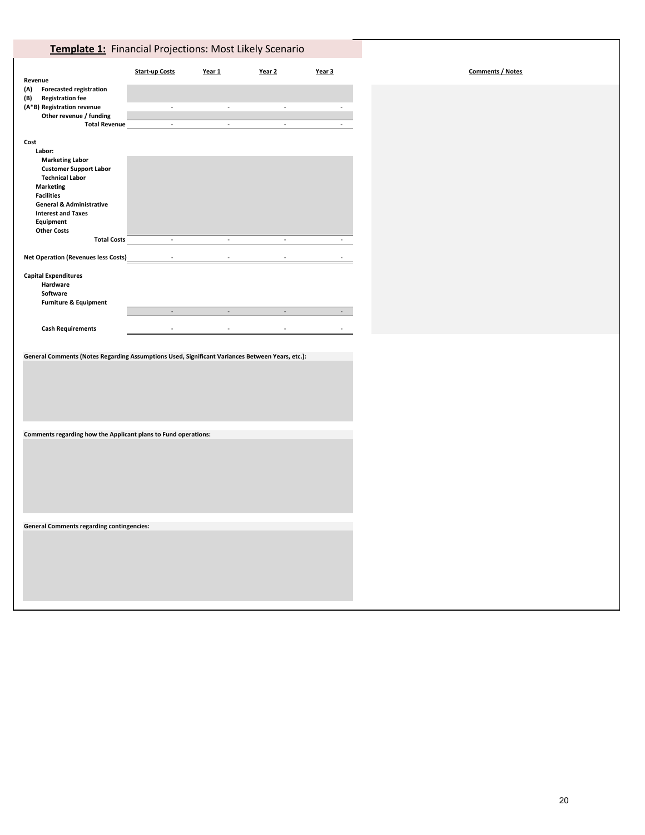# **Template 1:** Financial Projections: Most Likely Scenario

| Revenue                                                                                                                                                                                                                                                                                                                                                | <b>Start-up Costs</b> | Year 1             | Year <sub>2</sub>        | Year 3 | <b>Comments / Notes</b> |
|--------------------------------------------------------------------------------------------------------------------------------------------------------------------------------------------------------------------------------------------------------------------------------------------------------------------------------------------------------|-----------------------|--------------------|--------------------------|--------|-------------------------|
| (A)<br><b>Forecasted registration</b><br><b>Registration fee</b><br>(B)<br>(A*B) Registration revenue<br>Other revenue / funding<br><b>Total Revenue</b>                                                                                                                                                                                               | $\sim$<br>$\omega$    | $\sim$<br>$\omega$ | $\sim$<br>$\omega$       | $\sim$ |                         |
| Cost<br>Labor:<br><b>Marketing Labor</b><br><b>Customer Support Labor</b><br><b>Technical Labor</b><br><b>Marketing</b><br><b>Facilities</b><br><b>General &amp; Administrative</b><br><b>Interest and Taxes</b><br>Equipment<br><b>Other Costs</b><br><b>Total Costs</b><br><b>Net Operation (Revenues less Costs)</b><br><b>Capital Expenditures</b> | $\sim$<br>$\omega$    | $\sim$<br>$\omega$ | $\sim$<br>$\overline{a}$ | $\sim$ |                         |
| Hardware<br>Software<br><b>Furniture &amp; Equipment</b>                                                                                                                                                                                                                                                                                               | $\overline{a}$        | $\overline{a}$     | $\overline{a}$           |        |                         |
| <b>Cash Requirements</b>                                                                                                                                                                                                                                                                                                                               |                       |                    |                          |        |                         |
| General Comments (Notes Regarding Assumptions Used, Significant Variances Between Years, etc.):                                                                                                                                                                                                                                                        |                       |                    |                          |        |                         |
| Comments regarding how the Applicant plans to Fund operations:                                                                                                                                                                                                                                                                                         |                       |                    |                          |        |                         |
| <b>General Comments regarding contingencies:</b>                                                                                                                                                                                                                                                                                                       |                       |                    |                          |        |                         |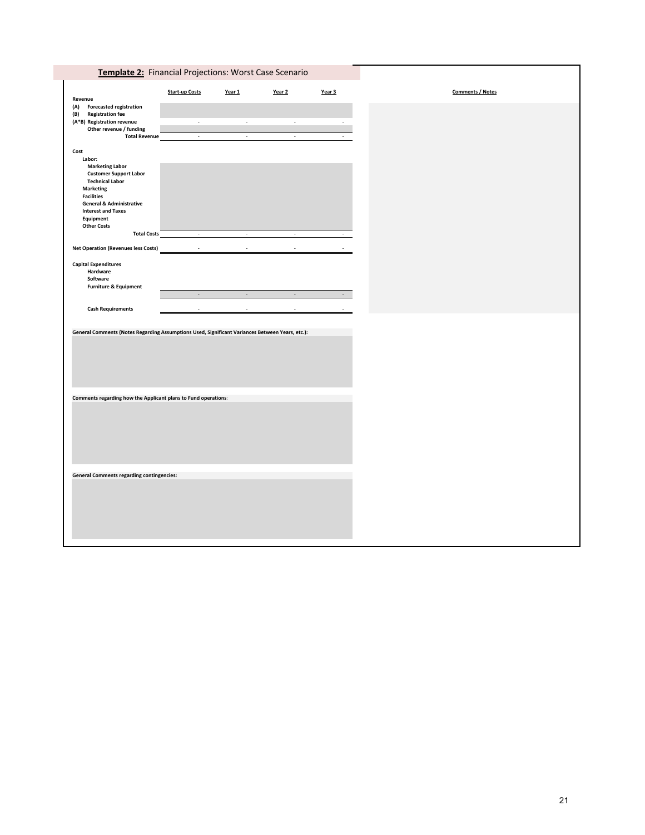|                                                                                                 | <b>Start-up Costs</b>             | Year 1        | Year 2        | Year 3 |  | <b>Comments / Notes</b> |  |
|-------------------------------------------------------------------------------------------------|-----------------------------------|---------------|---------------|--------|--|-------------------------|--|
| Revenue<br><b>Forecasted registration</b><br>(A)                                                |                                   |               |               |        |  |                         |  |
| (B)<br><b>Registration fee</b>                                                                  |                                   |               |               |        |  |                         |  |
| (A*B) Registration revenue                                                                      | $\sim$                            | $\sim$        | $\sim$        |        |  |                         |  |
| Other revenue / funding                                                                         |                                   |               |               |        |  |                         |  |
| <b>Total Revenue</b>                                                                            | $\omega$                          | $\omega$      | $\mathcal{L}$ |        |  |                         |  |
| Cost                                                                                            |                                   |               |               |        |  |                         |  |
| Labor:                                                                                          |                                   |               |               |        |  |                         |  |
| <b>Marketing Labor</b>                                                                          |                                   |               |               |        |  |                         |  |
| <b>Customer Support Labor</b>                                                                   |                                   |               |               |        |  |                         |  |
| <b>Technical Labor</b>                                                                          |                                   |               |               |        |  |                         |  |
| <b>Marketing</b>                                                                                |                                   |               |               |        |  |                         |  |
| <b>Facilities</b>                                                                               |                                   |               |               |        |  |                         |  |
| <b>General &amp; Administrative</b>                                                             |                                   |               |               |        |  |                         |  |
| <b>Interest and Taxes</b>                                                                       |                                   |               |               |        |  |                         |  |
| Equipment                                                                                       |                                   |               |               |        |  |                         |  |
| <b>Other Costs</b>                                                                              |                                   |               |               |        |  |                         |  |
| <b>Total Costs</b>                                                                              | the control of the control of the | $\sim$        | $\sim$        |        |  |                         |  |
| <b>Net Operation (Revenues less Costs)</b>                                                      | $\sim$                            | $\mathcal{L}$ | $\mathcal{L}$ |        |  |                         |  |
| <b>Capital Expenditures</b>                                                                     |                                   |               |               |        |  |                         |  |
| Hardware                                                                                        |                                   |               |               |        |  |                         |  |
|                                                                                                 |                                   |               |               |        |  |                         |  |
|                                                                                                 |                                   |               |               |        |  |                         |  |
| Software<br><b>Furniture &amp; Equipment</b>                                                    |                                   |               |               |        |  |                         |  |
|                                                                                                 | $\sim$                            | $\sim$        | $\sim$        | $\sim$ |  |                         |  |
|                                                                                                 |                                   |               |               |        |  |                         |  |
| <b>Cash Requirements</b>                                                                        |                                   |               |               |        |  |                         |  |
|                                                                                                 |                                   |               |               |        |  |                         |  |
| General Comments (Notes Regarding Assumptions Used, Significant Variances Between Years, etc.): |                                   |               |               |        |  |                         |  |
|                                                                                                 |                                   |               |               |        |  |                         |  |
|                                                                                                 |                                   |               |               |        |  |                         |  |
|                                                                                                 |                                   |               |               |        |  |                         |  |
|                                                                                                 |                                   |               |               |        |  |                         |  |
|                                                                                                 |                                   |               |               |        |  |                         |  |
|                                                                                                 |                                   |               |               |        |  |                         |  |
|                                                                                                 |                                   |               |               |        |  |                         |  |
|                                                                                                 |                                   |               |               |        |  |                         |  |
|                                                                                                 |                                   |               |               |        |  |                         |  |
|                                                                                                 |                                   |               |               |        |  |                         |  |
|                                                                                                 |                                   |               |               |        |  |                         |  |
|                                                                                                 |                                   |               |               |        |  |                         |  |
| Comments regarding how the Applicant plans to Fund operations:                                  |                                   |               |               |        |  |                         |  |
|                                                                                                 |                                   |               |               |        |  |                         |  |
|                                                                                                 |                                   |               |               |        |  |                         |  |
|                                                                                                 |                                   |               |               |        |  |                         |  |
|                                                                                                 |                                   |               |               |        |  |                         |  |
|                                                                                                 |                                   |               |               |        |  |                         |  |
| <b>General Comments regarding contingencies:</b>                                                |                                   |               |               |        |  |                         |  |
|                                                                                                 |                                   |               |               |        |  |                         |  |
|                                                                                                 |                                   |               |               |        |  |                         |  |